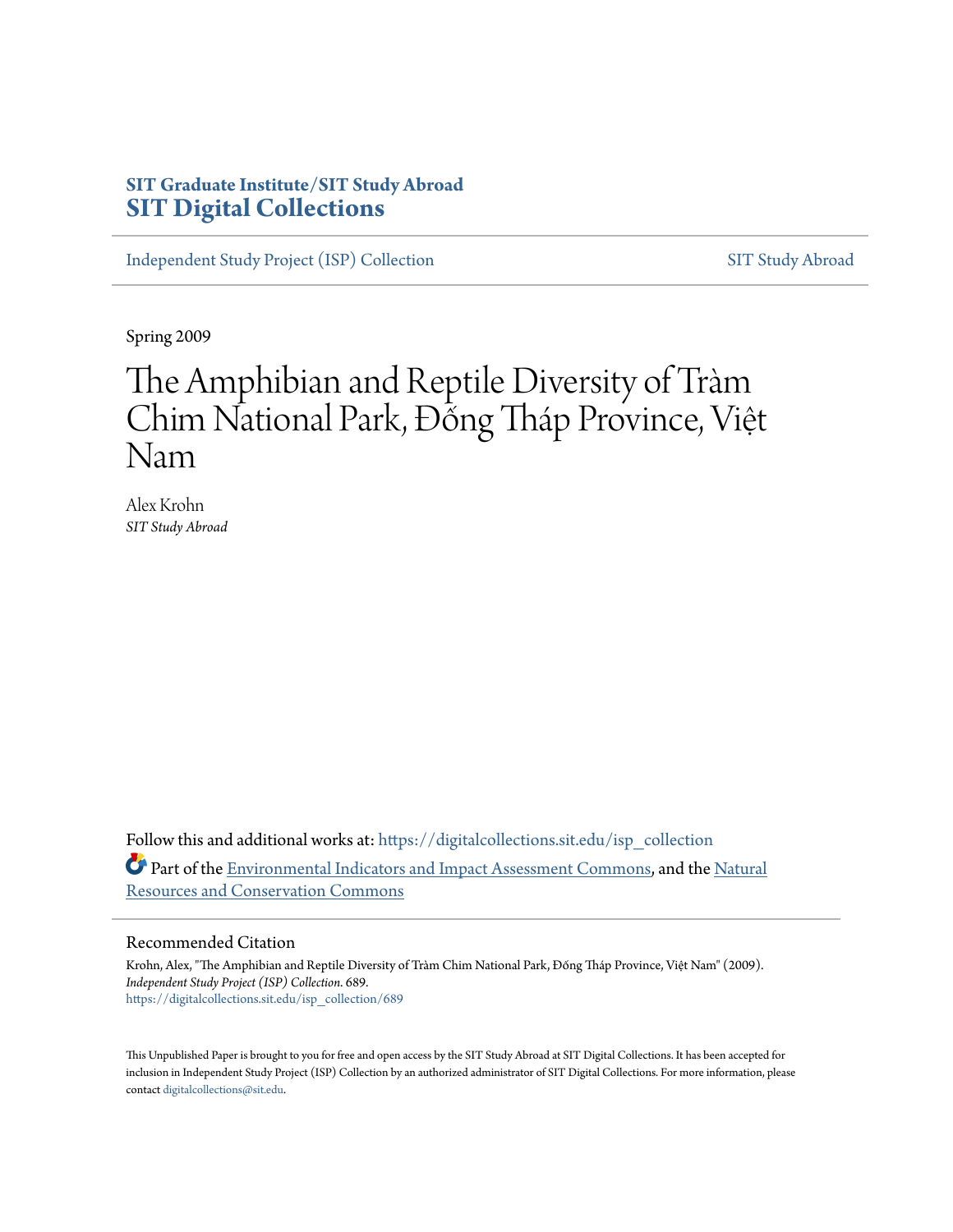# **SIT Graduate Institute/SIT Study Abroad [SIT Digital Collections](https://digitalcollections.sit.edu?utm_source=digitalcollections.sit.edu%2Fisp_collection%2F689&utm_medium=PDF&utm_campaign=PDFCoverPages)**

[Independent Study Project \(ISP\) Collection](https://digitalcollections.sit.edu/isp_collection?utm_source=digitalcollections.sit.edu%2Fisp_collection%2F689&utm_medium=PDF&utm_campaign=PDFCoverPages) [SIT Study Abroad](https://digitalcollections.sit.edu/study_abroad?utm_source=digitalcollections.sit.edu%2Fisp_collection%2F689&utm_medium=PDF&utm_campaign=PDFCoverPages)

Spring 2009

# The Amphibian and Reptile Diversity of Tràm Chim National Park, Đống Tháp Province, Việt Nam

Alex Krohn *SIT Study Abroad*

Follow this and additional works at: [https://digitalcollections.sit.edu/isp\\_collection](https://digitalcollections.sit.edu/isp_collection?utm_source=digitalcollections.sit.edu%2Fisp_collection%2F689&utm_medium=PDF&utm_campaign=PDFCoverPages) Part of the [Environmental Indicators and Impact Assessment Commons](http://network.bepress.com/hgg/discipline/1015?utm_source=digitalcollections.sit.edu%2Fisp_collection%2F689&utm_medium=PDF&utm_campaign=PDFCoverPages), and the [Natural](http://network.bepress.com/hgg/discipline/168?utm_source=digitalcollections.sit.edu%2Fisp_collection%2F689&utm_medium=PDF&utm_campaign=PDFCoverPages) [Resources and Conservation Commons](http://network.bepress.com/hgg/discipline/168?utm_source=digitalcollections.sit.edu%2Fisp_collection%2F689&utm_medium=PDF&utm_campaign=PDFCoverPages)

#### Recommended Citation

Krohn, Alex, "The Amphibian and Reptile Diversity of Tràm Chim National Park, Đống Tháp Province, Việt Nam" (2009). *Independent Study Project (ISP) Collection*. 689. [https://digitalcollections.sit.edu/isp\\_collection/689](https://digitalcollections.sit.edu/isp_collection/689?utm_source=digitalcollections.sit.edu%2Fisp_collection%2F689&utm_medium=PDF&utm_campaign=PDFCoverPages)

This Unpublished Paper is brought to you for free and open access by the SIT Study Abroad at SIT Digital Collections. It has been accepted for inclusion in Independent Study Project (ISP) Collection by an authorized administrator of SIT Digital Collections. For more information, please contact [digitalcollections@sit.edu](mailto:digitalcollections@sit.edu).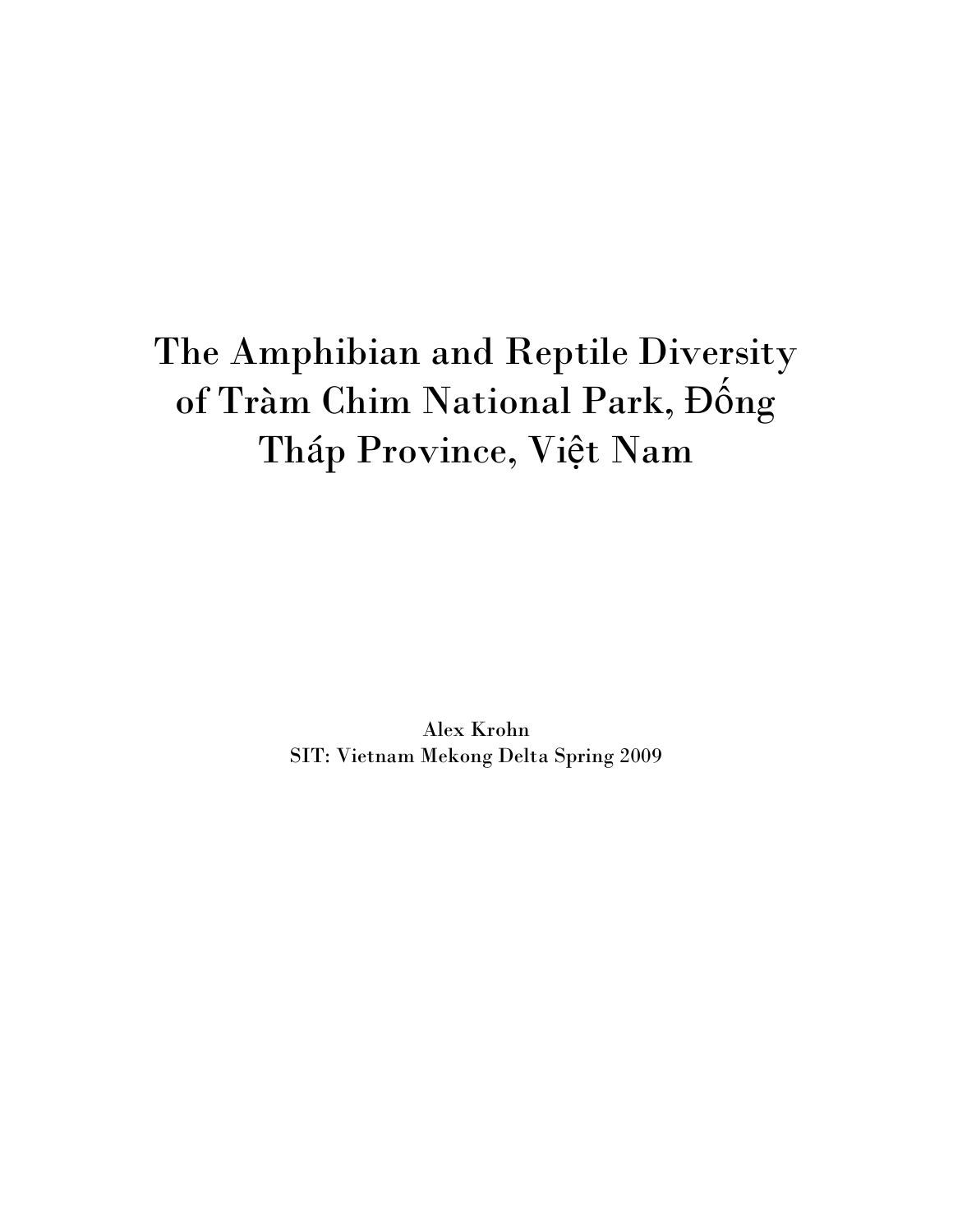# The Amphibian and Reptile Diversity of Tràm Chim National Park, Đống Tháp Province, Việt Nam

Alex Krohn SIT: Vietnam Mekong Delta Spring 2009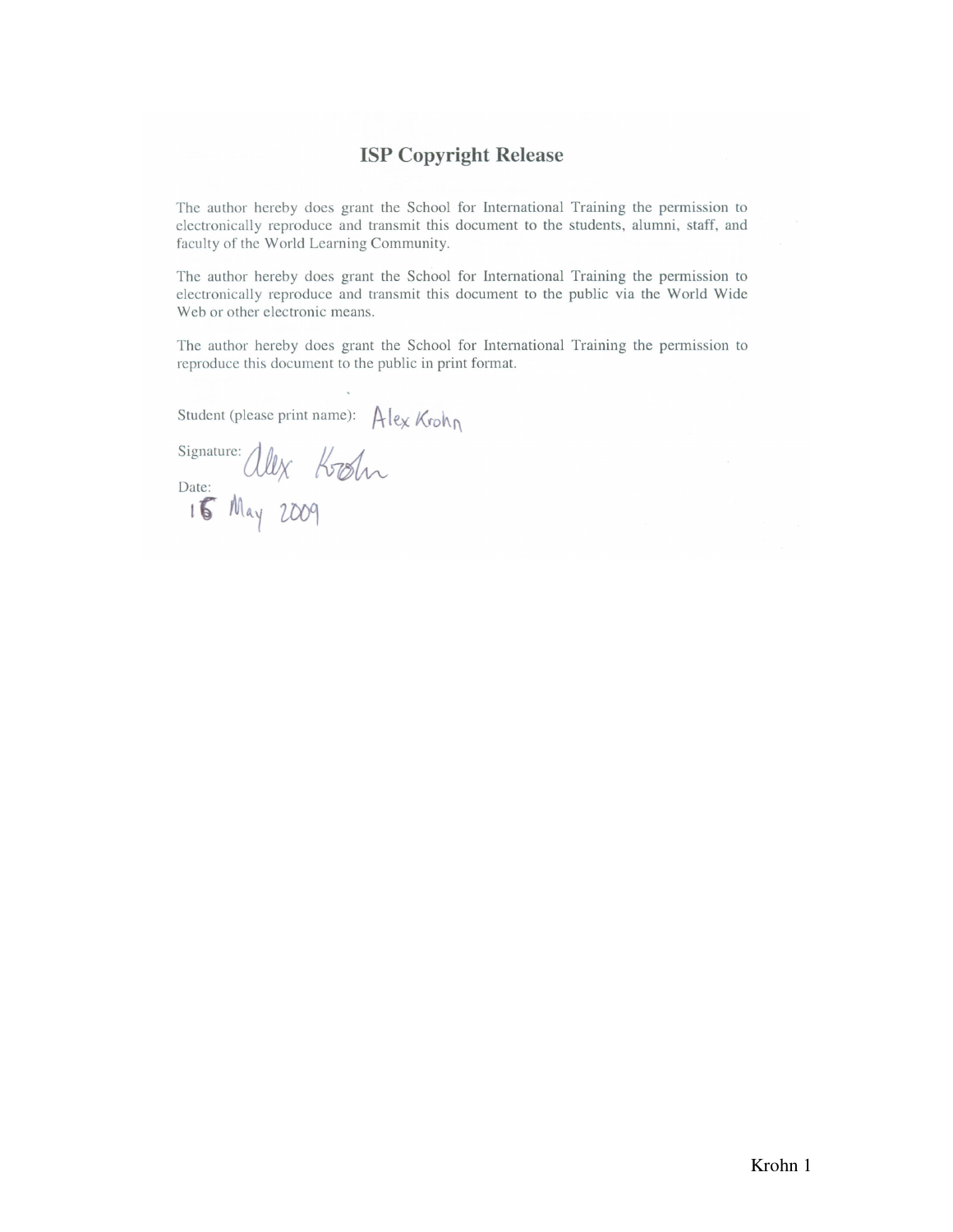## **ISP Copyright Release**

The author hereby does grant the School for International Training the permission to electronically reproduce and transmit this document to the students, alumni, staff, and faculty of the World Learning Community.

The author hereby does grant the School for International Training the permission to electronically reproduce and transmit this document to the public via the World Wide Web or other electronic means.

The author hereby does grant the School for International Training the permission to reproduce this document to the public in print format.

Student (please print name): Alex Krohn

Signature: ally Kostn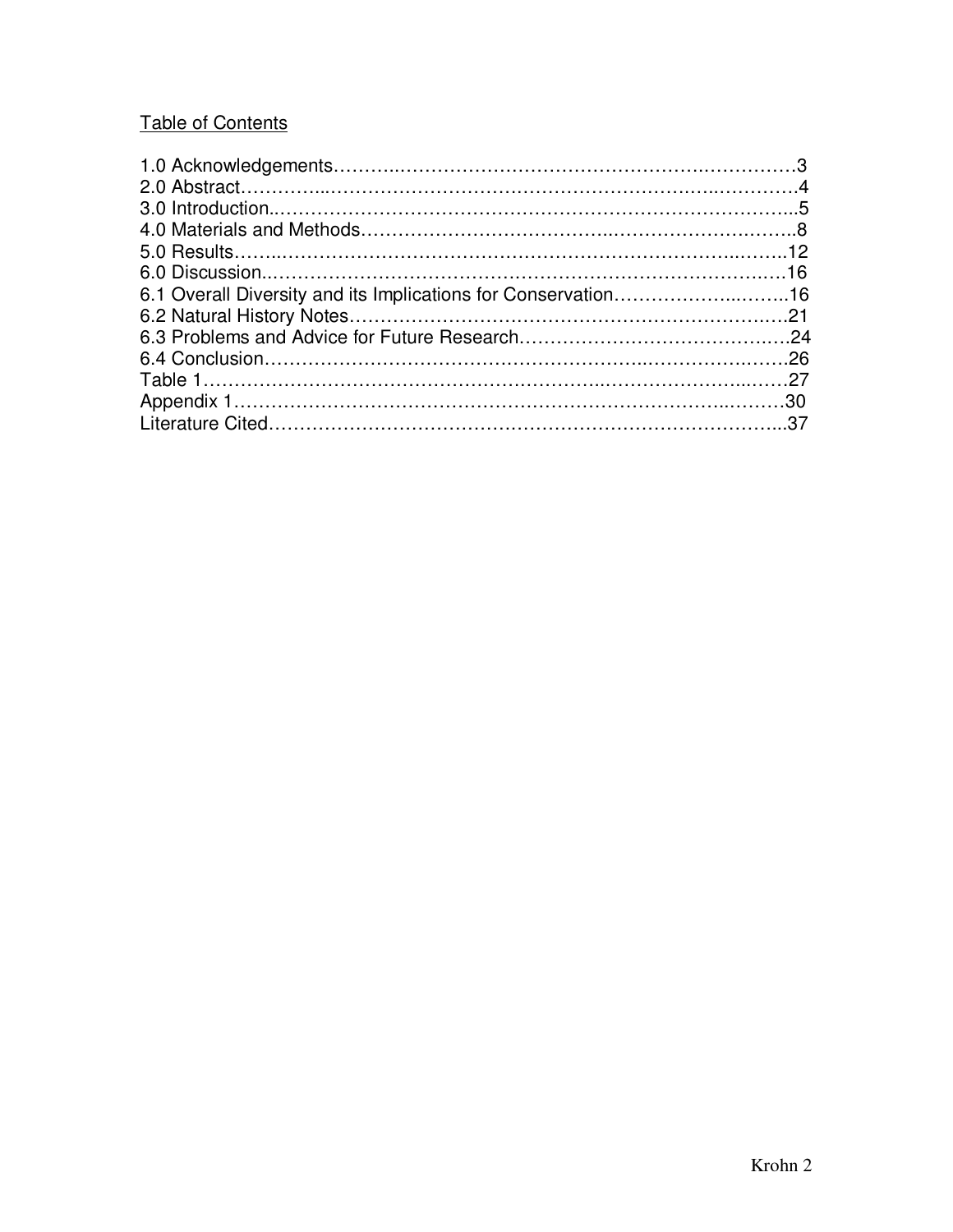# Table of Contents

| 6.1 Overall Diversity and its Implications for Conservation16 |  |
|---------------------------------------------------------------|--|
|                                                               |  |
|                                                               |  |
|                                                               |  |
|                                                               |  |
|                                                               |  |
|                                                               |  |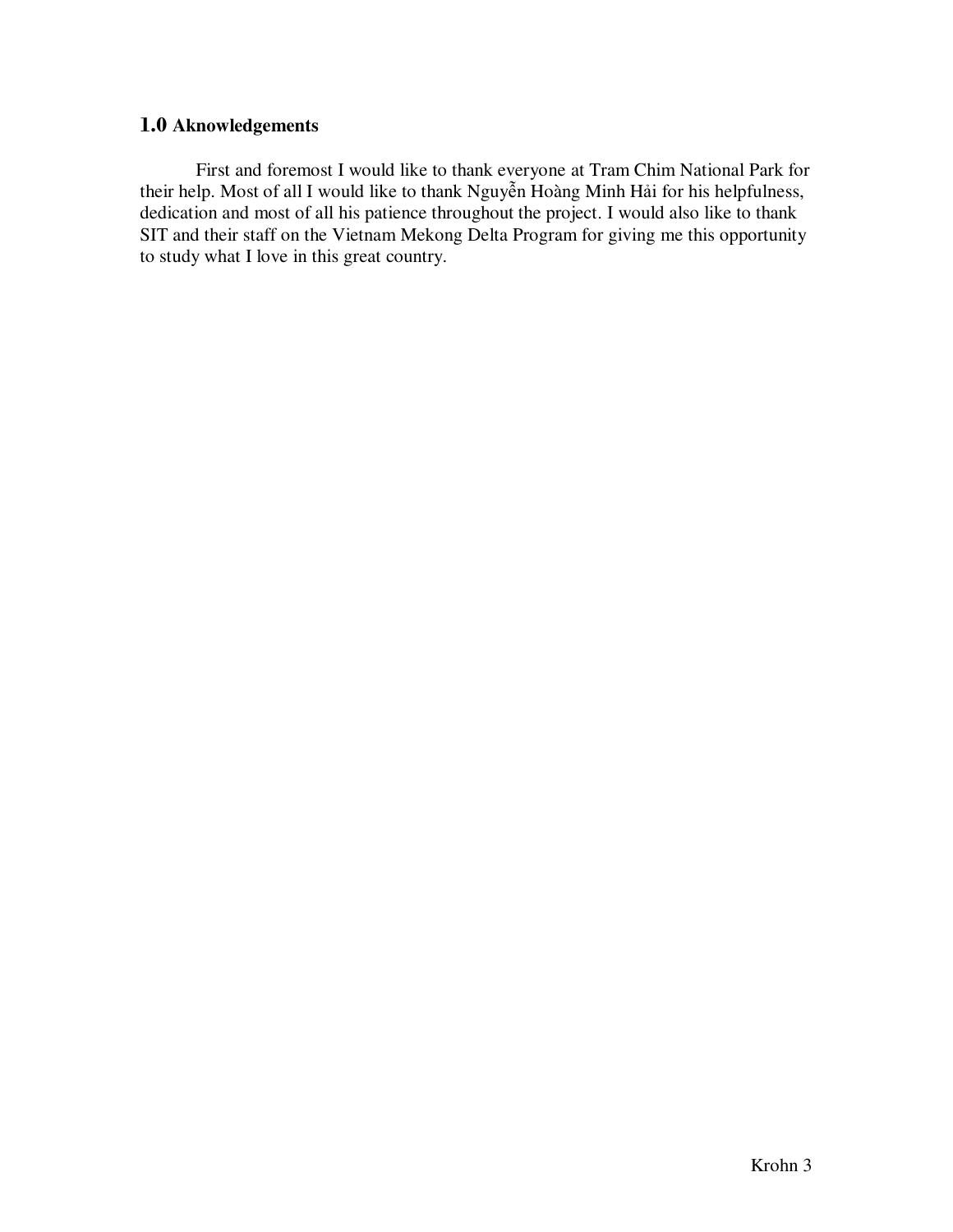## 1.0 **Aknowledgements**

First and foremost I would like to thank everyone at Tram Chim National Park for their help. Most of all I would like to thank Nguyễn Hoàng Minh Hải for his helpfulness, dedication and most of all his patience throughout the project. I would also like to thank SIT and their staff on the Vietnam Mekong Delta Program for giving me this opportunity to study what I love in this great country.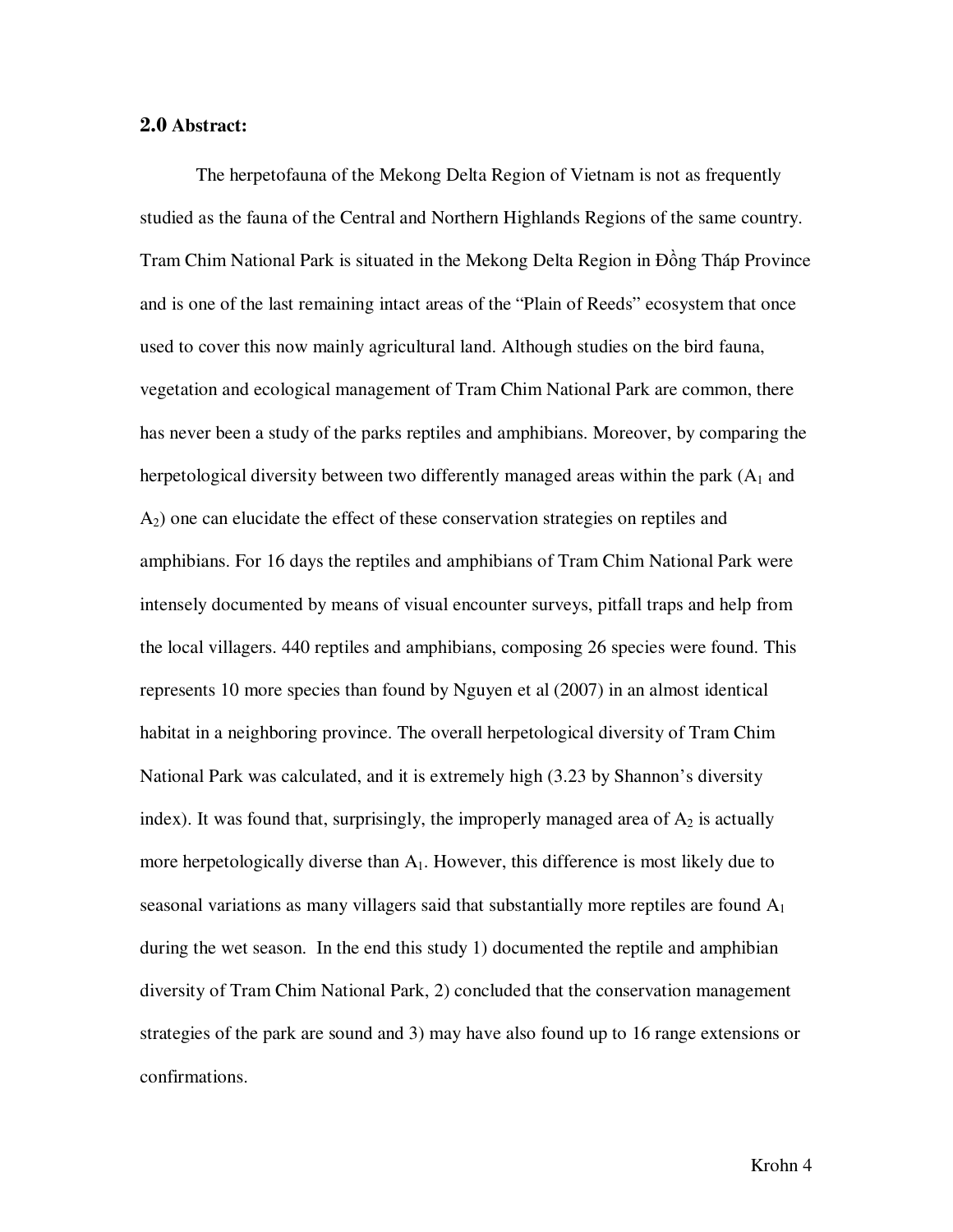#### 2.0 **Abstract:**

 The herpetofauna of the Mekong Delta Region of Vietnam is not as frequently studied as the fauna of the Central and Northern Highlands Regions of the same country. Tram Chim National Park is situated in the Mekong Delta Region in Đồng Tháp Province and is one of the last remaining intact areas of the "Plain of Reeds" ecosystem that once used to cover this now mainly agricultural land. Although studies on the bird fauna, vegetation and ecological management of Tram Chim National Park are common, there has never been a study of the parks reptiles and amphibians. Moreover, by comparing the herpetological diversity between two differently managed areas within the park  $(A_1 \text{ and } B_2)$ A2) one can elucidate the effect of these conservation strategies on reptiles and amphibians. For 16 days the reptiles and amphibians of Tram Chim National Park were intensely documented by means of visual encounter surveys, pitfall traps and help from the local villagers. 440 reptiles and amphibians, composing 26 species were found. This represents 10 more species than found by Nguyen et al (2007) in an almost identical habitat in a neighboring province. The overall herpetological diversity of Tram Chim National Park was calculated, and it is extremely high (3.23 by Shannon's diversity index). It was found that, surprisingly, the improperly managed area of  $A_2$  is actually more herpetologically diverse than  $A_1$ . However, this difference is most likely due to seasonal variations as many villagers said that substantially more reptiles are found  $A_1$ during the wet season. In the end this study 1) documented the reptile and amphibian diversity of Tram Chim National Park, 2) concluded that the conservation management strategies of the park are sound and 3) may have also found up to 16 range extensions or confirmations.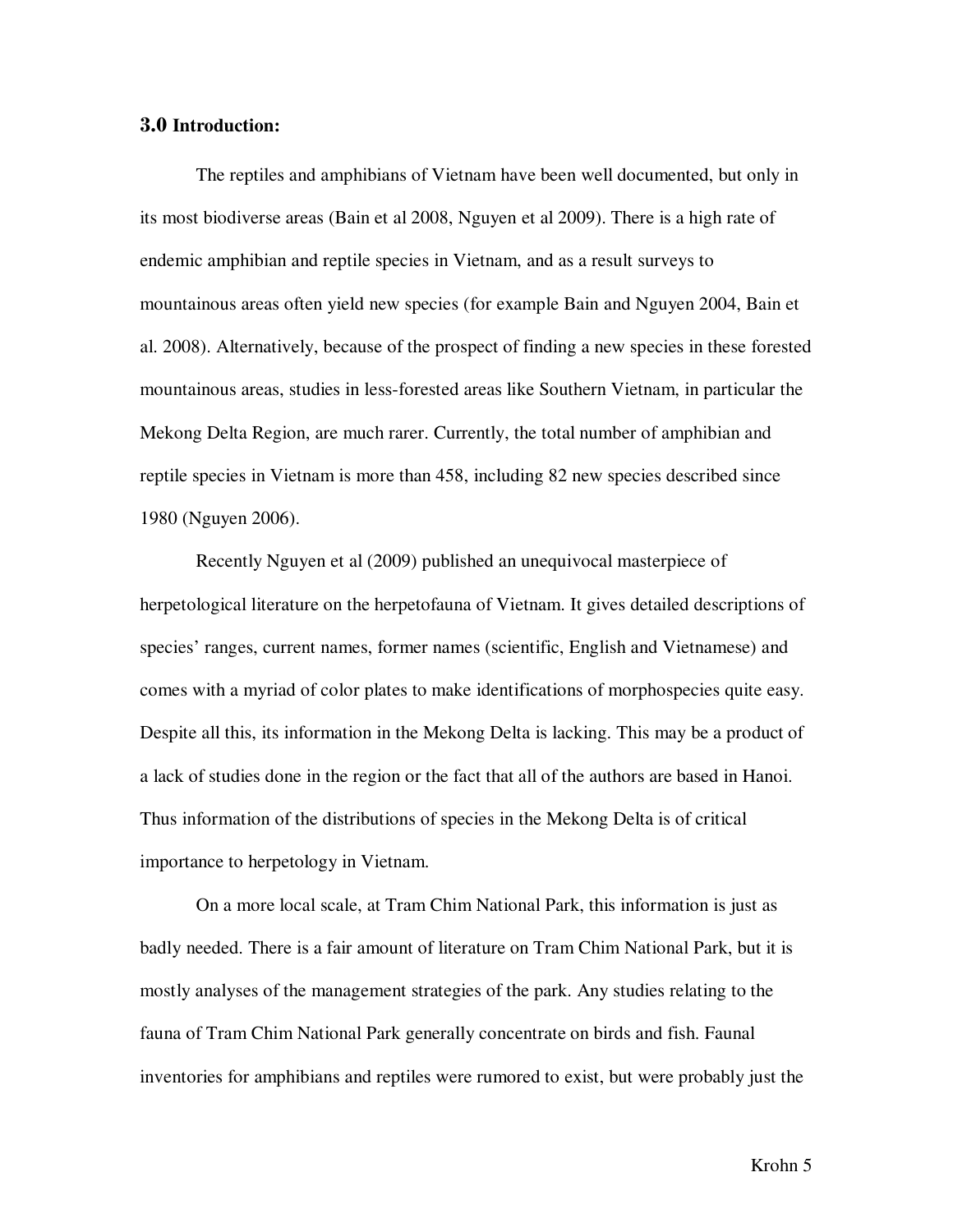#### 3.0 **Introduction:**

The reptiles and amphibians of Vietnam have been well documented, but only in its most biodiverse areas (Bain et al 2008, Nguyen et al 2009). There is a high rate of endemic amphibian and reptile species in Vietnam, and as a result surveys to mountainous areas often yield new species (for example Bain and Nguyen 2004, Bain et al. 2008). Alternatively, because of the prospect of finding a new species in these forested mountainous areas, studies in less-forested areas like Southern Vietnam, in particular the Mekong Delta Region, are much rarer. Currently, the total number of amphibian and reptile species in Vietnam is more than 458, including 82 new species described since 1980 (Nguyen 2006).

Recently Nguyen et al (2009) published an unequivocal masterpiece of herpetological literature on the herpetofauna of Vietnam. It gives detailed descriptions of species' ranges, current names, former names (scientific, English and Vietnamese) and comes with a myriad of color plates to make identifications of morphospecies quite easy. Despite all this, its information in the Mekong Delta is lacking. This may be a product of a lack of studies done in the region or the fact that all of the authors are based in Hanoi. Thus information of the distributions of species in the Mekong Delta is of critical importance to herpetology in Vietnam.

 On a more local scale, at Tram Chim National Park, this information is just as badly needed. There is a fair amount of literature on Tram Chim National Park, but it is mostly analyses of the management strategies of the park. Any studies relating to the fauna of Tram Chim National Park generally concentrate on birds and fish. Faunal inventories for amphibians and reptiles were rumored to exist, but were probably just the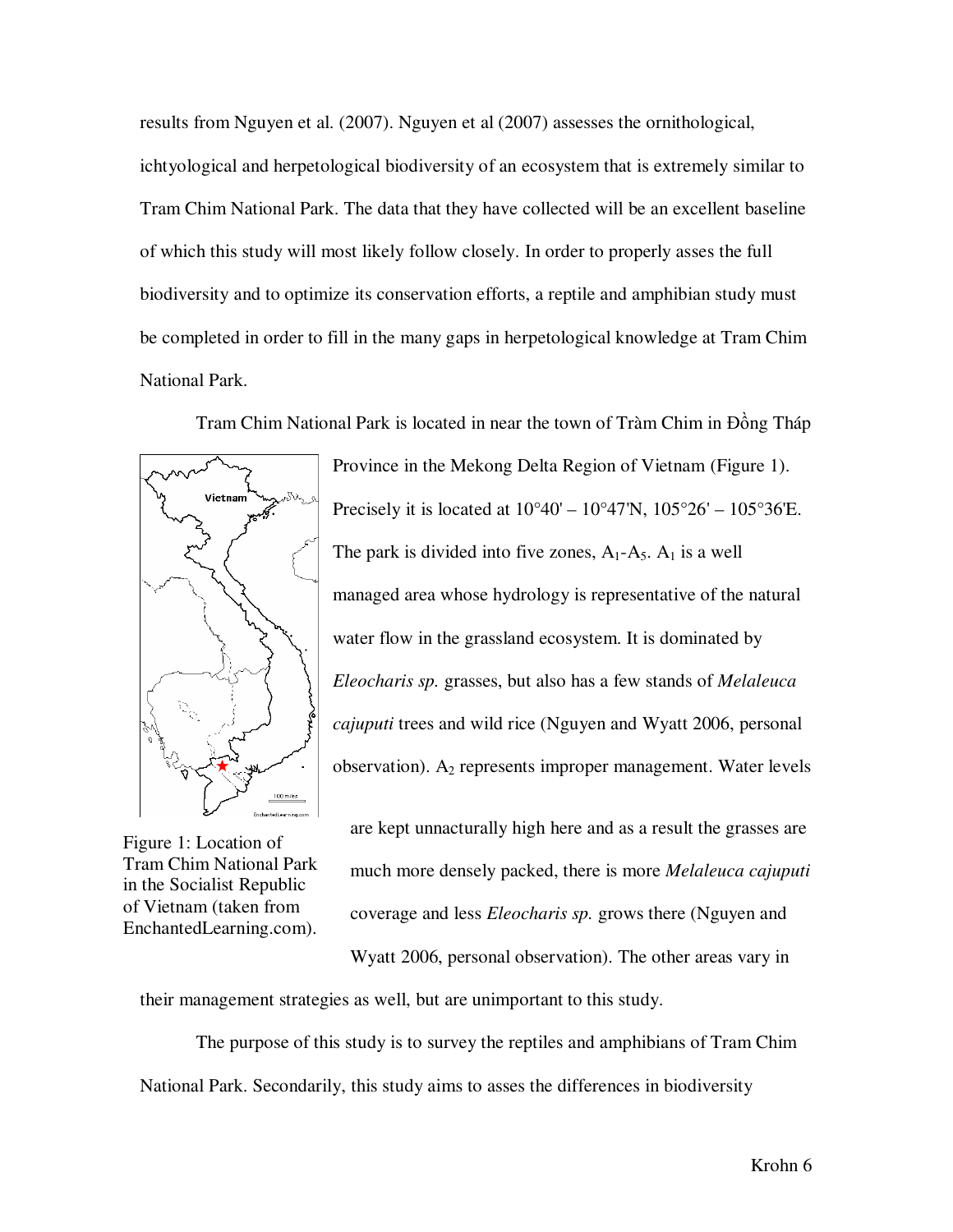results from Nguyen et al. (2007). Nguyen et al (2007) assesses the ornithological, ichtyological and herpetological biodiversity of an ecosystem that is extremely similar to Tram Chim National Park. The data that they have collected will be an excellent baseline of which this study will most likely follow closely. In order to properly asses the full biodiversity and to optimize its conservation efforts, a reptile and amphibian study must be completed in order to fill in the many gaps in herpetological knowledge at Tram Chim National Park.

Tram Chim National Park is located in near the town of Tràm Chim in Đồng Tháp



Province in the Mekong Delta Region of Vietnam (Figure 1). Precisely it is located at  $10^{\circ}40' - 10^{\circ}47'N$ ,  $105^{\circ}26' - 105^{\circ}36'E$ . The park is divided into five zones,  $A_1 - A_5$ .  $A_1$  is a well managed area whose hydrology is representative of the natural water flow in the grassland ecosystem. It is dominated by *Eleocharis sp.* grasses, but also has a few stands of *Melaleuca cajuputi* trees and wild rice (Nguyen and Wyatt 2006, personal observation).  $A_2$  represents improper management. Water levels

Figure 1: Location of Tram Chim National Park in the Socialist Republic of Vietnam (taken from EnchantedLearning.com).

are kept unnacturally high here and as a result the grasses are much more densely packed, there is more *Melaleuca cajuputi*  coverage and less *Eleocharis sp.* grows there (Nguyen and

Wyatt 2006, personal observation). The other areas vary in their management strategies as well, but are unimportant to this study.

The purpose of this study is to survey the reptiles and amphibians of Tram Chim National Park. Secondarily, this study aims to asses the differences in biodiversity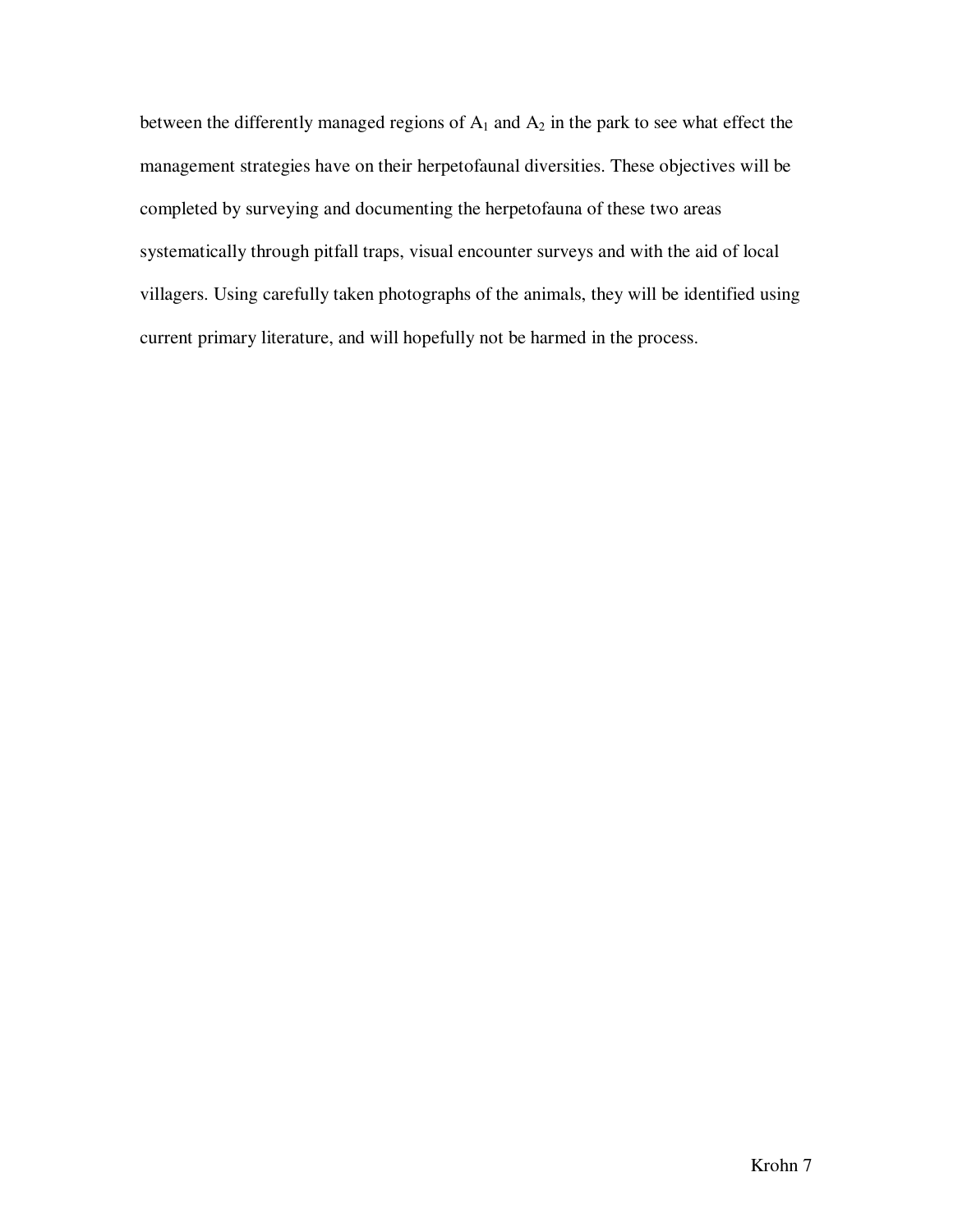between the differently managed regions of  $A_1$  and  $A_2$  in the park to see what effect the management strategies have on their herpetofaunal diversities. These objectives will be completed by surveying and documenting the herpetofauna of these two areas systematically through pitfall traps, visual encounter surveys and with the aid of local villagers. Using carefully taken photographs of the animals, they will be identified using current primary literature, and will hopefully not be harmed in the process.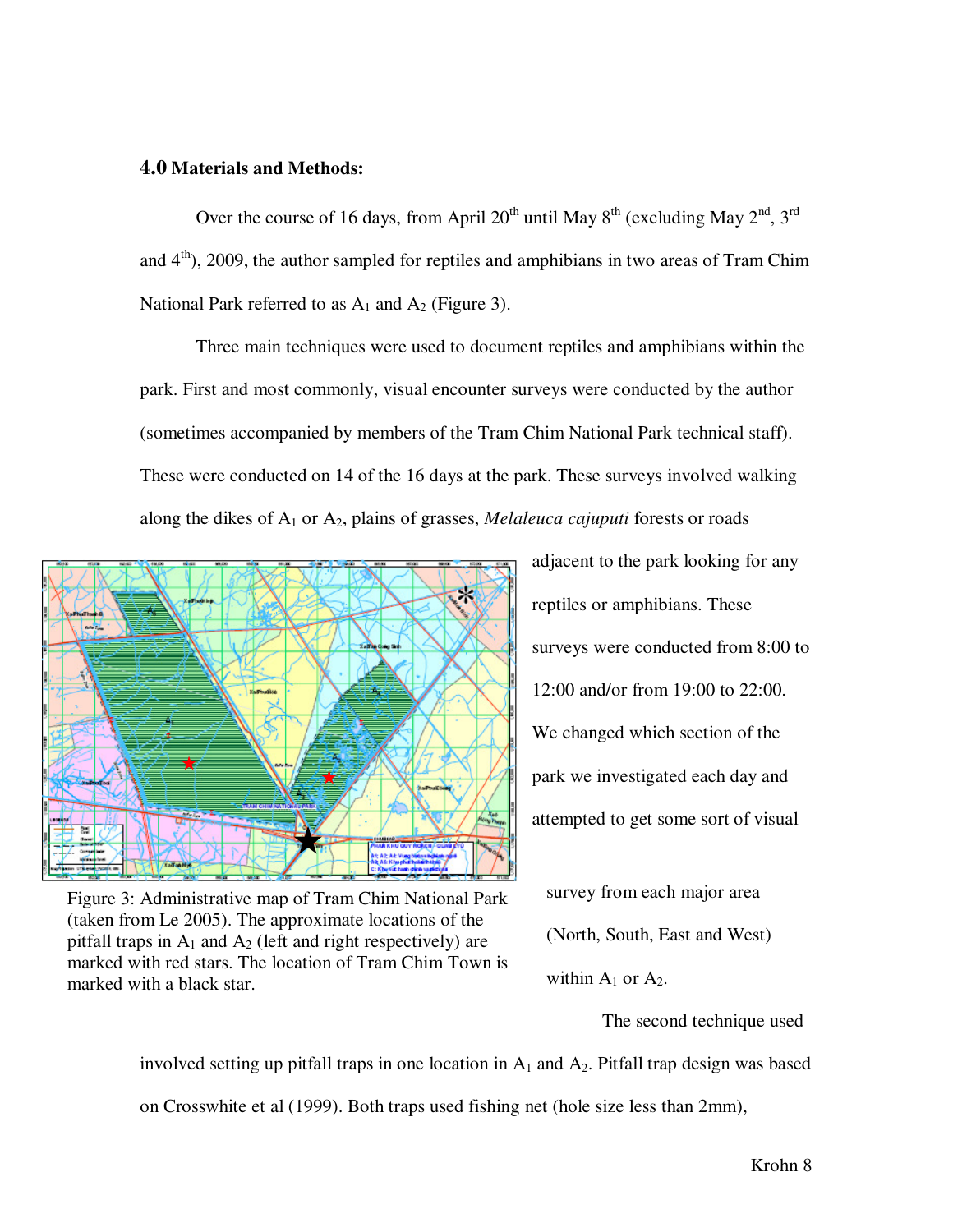#### 4.0 **Materials and Methods:**

Over the course of 16 days, from April  $20^{th}$  until May  $8^{th}$  (excluding May  $2^{nd}$ ,  $3^{rd}$ and  $4<sup>th</sup>$ ), 2009, the author sampled for reptiles and amphibians in two areas of Tram Chim National Park referred to as  $A_1$  and  $A_2$  (Figure 3).

Three main techniques were used to document reptiles and amphibians within the park. First and most commonly, visual encounter surveys were conducted by the author (sometimes accompanied by members of the Tram Chim National Park technical staff). These were conducted on 14 of the 16 days at the park. These surveys involved walking along the dikes of A1 or A2, plains of grasses, *Melaleuca cajuputi* forests or roads



Figure 3: Administrative map of Tram Chim National Park (taken from Le 2005). The approximate locations of the pitfall traps in  $A_1$  and  $A_2$  (left and right respectively) are marked with red stars. The location of Tram Chim Town is marked with a black star.

adjacent to the park looking for any reptiles or amphibians. These surveys were conducted from 8:00 to 12:00 and/or from 19:00 to 22:00. We changed which section of the park we investigated each day and attempted to get some sort of visual

survey from each major area (North, South, East and West) within  $A_1$  or  $A_2$ .

The second technique used

involved setting up pitfall traps in one location in  $A_1$  and  $A_2$ . Pitfall trap design was based on Crosswhite et al (1999). Both traps used fishing net (hole size less than 2mm),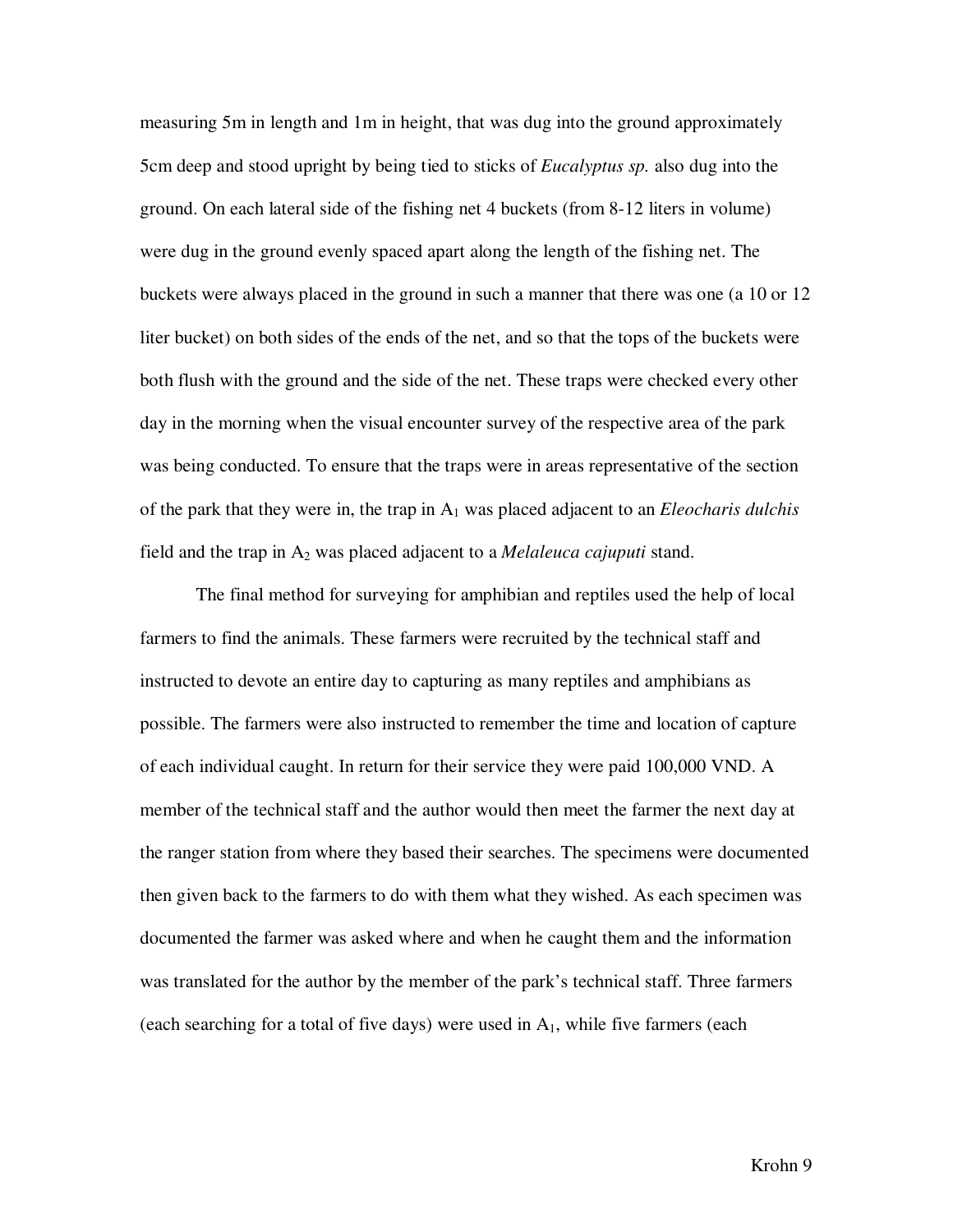measuring 5m in length and 1m in height, that was dug into the ground approximately 5cm deep and stood upright by being tied to sticks of *Eucalyptus sp.* also dug into the ground. On each lateral side of the fishing net 4 buckets (from 8-12 liters in volume) were dug in the ground evenly spaced apart along the length of the fishing net. The buckets were always placed in the ground in such a manner that there was one (a 10 or 12 liter bucket) on both sides of the ends of the net, and so that the tops of the buckets were both flush with the ground and the side of the net. These traps were checked every other day in the morning when the visual encounter survey of the respective area of the park was being conducted. To ensure that the traps were in areas representative of the section of the park that they were in, the trap in A1 was placed adjacent to an *Eleocharis dulchis*  field and the trap in A2 was placed adjacent to a *Melaleuca cajuputi* stand.

 The final method for surveying for amphibian and reptiles used the help of local farmers to find the animals. These farmers were recruited by the technical staff and instructed to devote an entire day to capturing as many reptiles and amphibians as possible. The farmers were also instructed to remember the time and location of capture of each individual caught. In return for their service they were paid 100,000 VND. A member of the technical staff and the author would then meet the farmer the next day at the ranger station from where they based their searches. The specimens were documented then given back to the farmers to do with them what they wished. As each specimen was documented the farmer was asked where and when he caught them and the information was translated for the author by the member of the park's technical staff. Three farmers (each searching for a total of five days) were used in  $A_1$ , while five farmers (each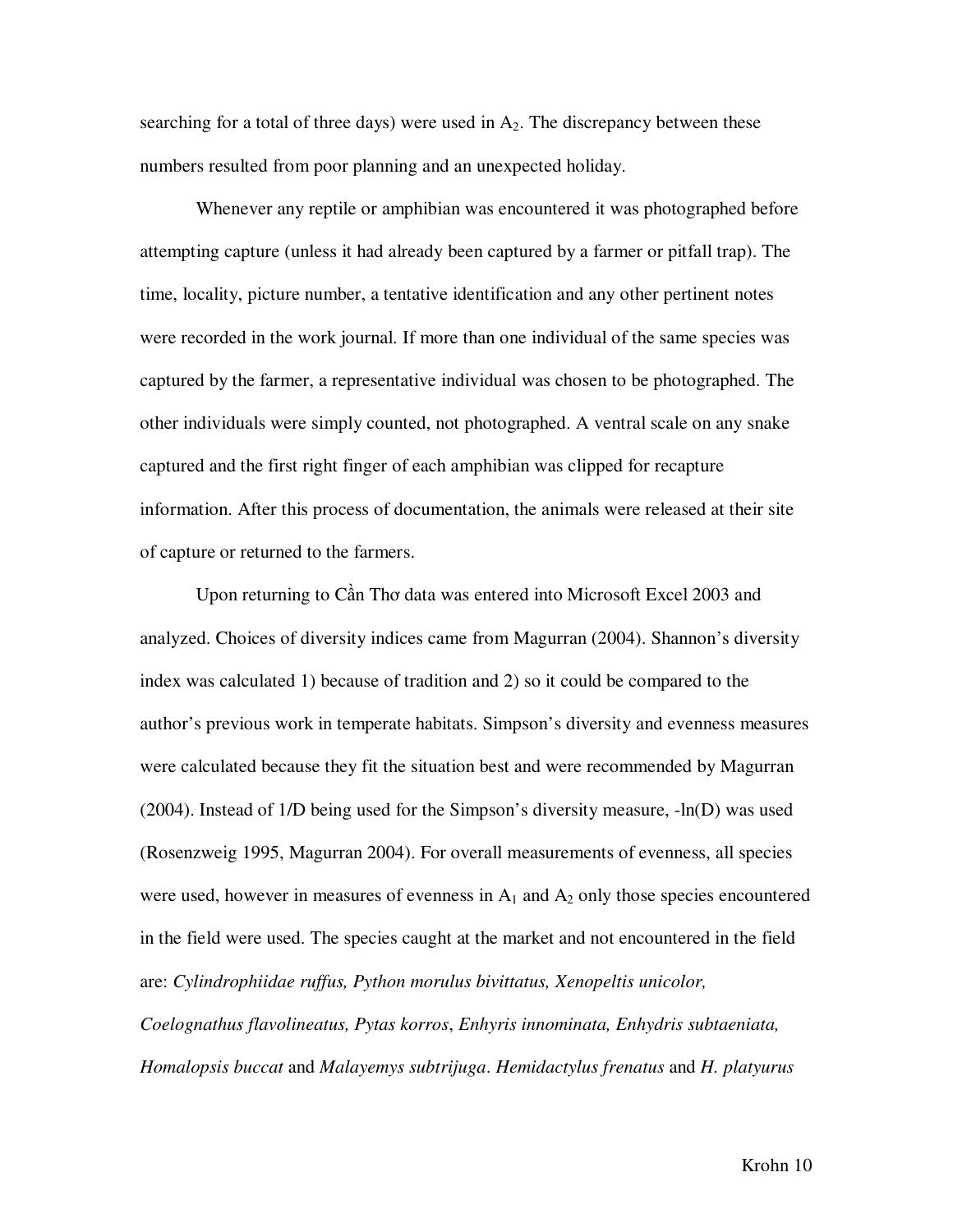searching for a total of three days) were used in  $A_2$ . The discrepancy between these numbers resulted from poor planning and an unexpected holiday.

 Whenever any reptile or amphibian was encountered it was photographed before attempting capture (unless it had already been captured by a farmer or pitfall trap). The time, locality, picture number, a tentative identification and any other pertinent notes were recorded in the work journal. If more than one individual of the same species was captured by the farmer, a representative individual was chosen to be photographed. The other individuals were simply counted, not photographed. A ventral scale on any snake captured and the first right finger of each amphibian was clipped for recapture information. After this process of documentation, the animals were released at their site of capture or returned to the farmers.

 Upon returning to Cần Thơ data was entered into Microsoft Excel 2003 and analyzed. Choices of diversity indices came from Magurran (2004). Shannon's diversity index was calculated 1) because of tradition and 2) so it could be compared to the author's previous work in temperate habitats. Simpson's diversity and evenness measures were calculated because they fit the situation best and were recommended by Magurran (2004). Instead of 1/D being used for the Simpson's diversity measure, -ln(D) was used (Rosenzweig 1995, Magurran 2004). For overall measurements of evenness, all species were used, however in measures of evenness in  $A_1$  and  $A_2$  only those species encountered in the field were used. The species caught at the market and not encountered in the field are: *Cylindrophiidae ruffus, Python morulus bivittatus, Xenopeltis unicolor,* 

*Coelognathus flavolineatus, Pytas korros*, *Enhyris innominata, Enhydris subtaeniata, Homalopsis buccat* and *Malayemys subtrijuga*. *Hemidactylus frenatus* and *H. platyurus*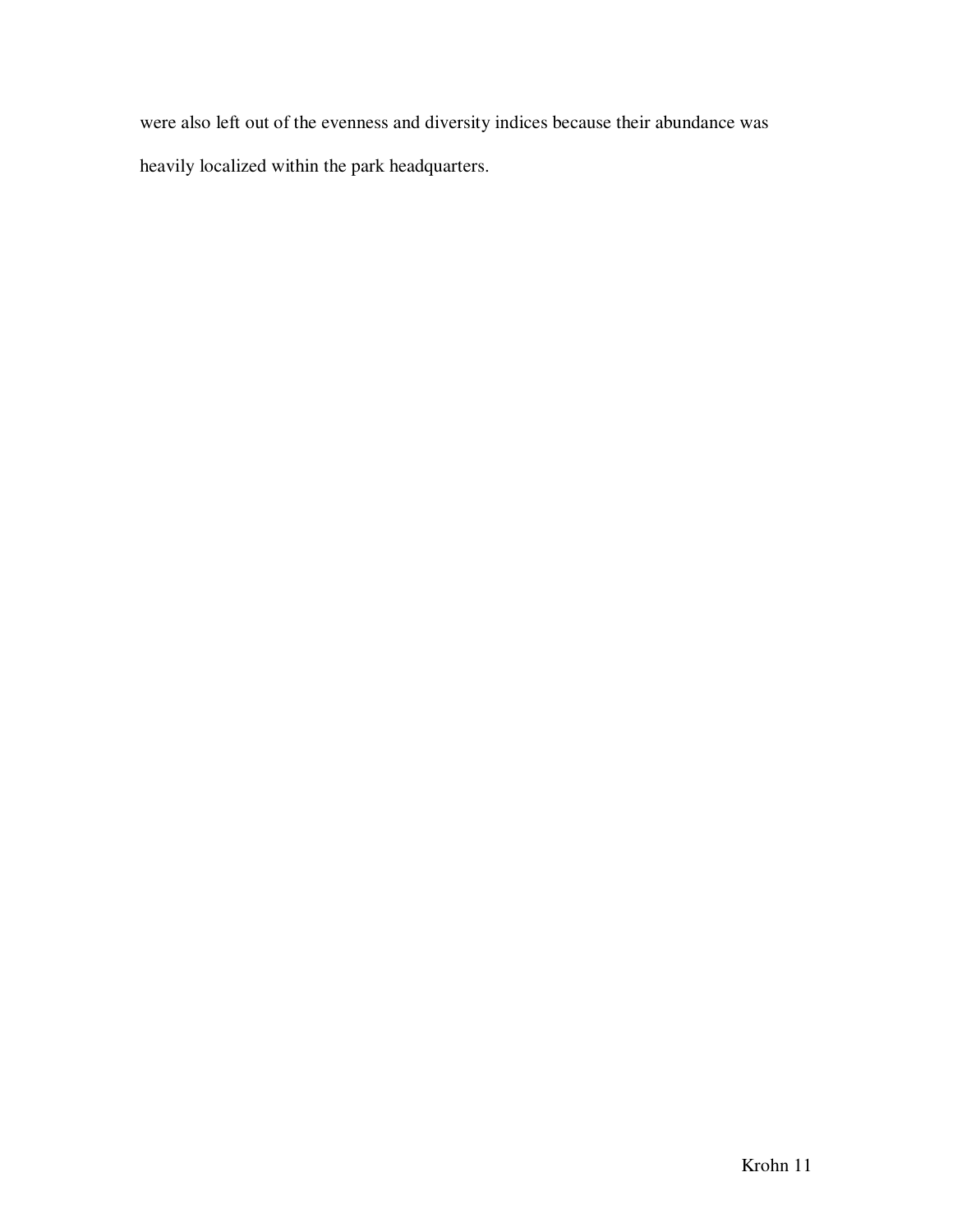were also left out of the evenness and diversity indices because their abundance was heavily localized within the park headquarters.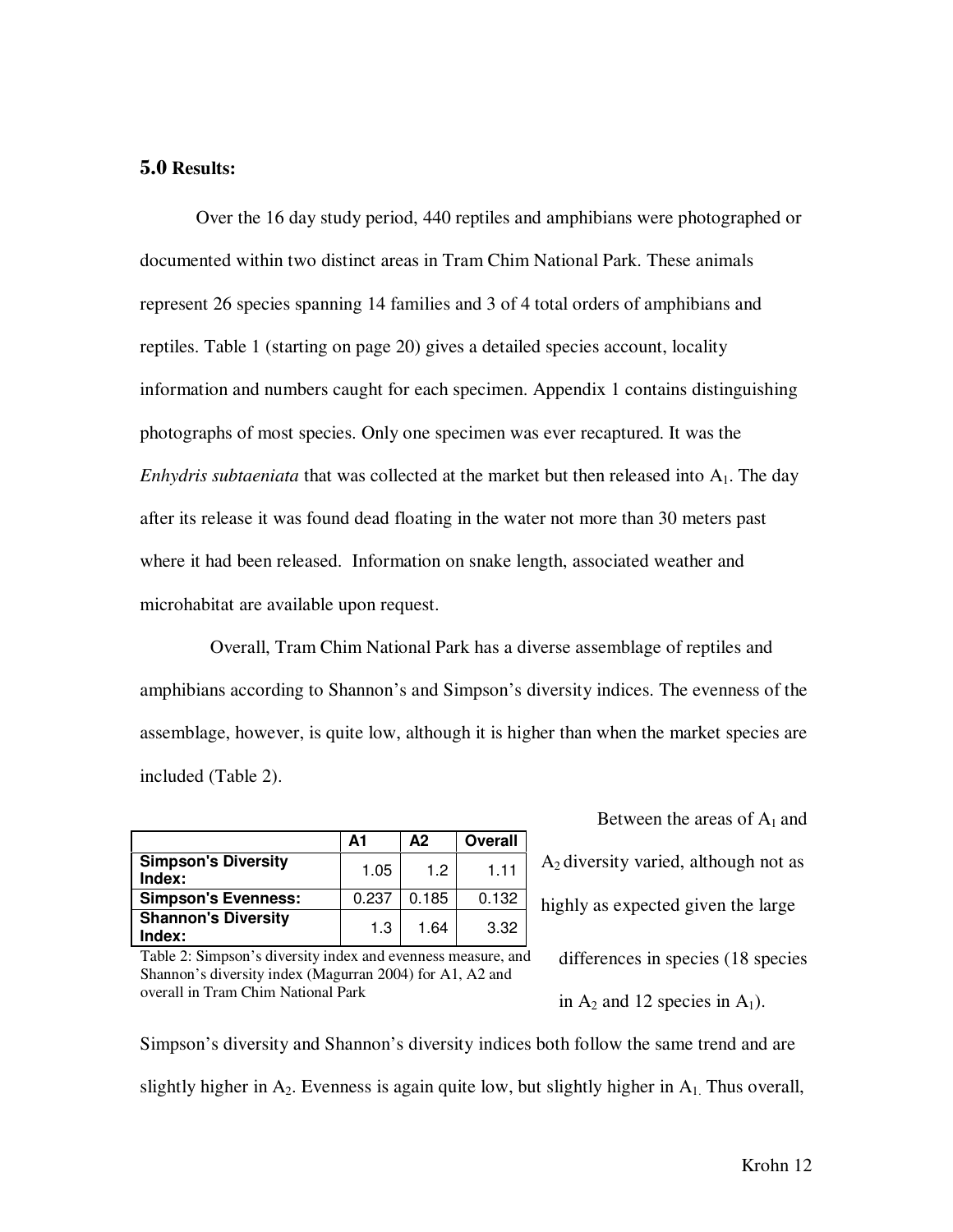#### 5.0 **Results:**

 Over the 16 day study period, 440 reptiles and amphibians were photographed or documented within two distinct areas in Tram Chim National Park. These animals represent 26 species spanning 14 families and 3 of 4 total orders of amphibians and reptiles. Table 1 (starting on page 20) gives a detailed species account, locality information and numbers caught for each specimen. Appendix 1 contains distinguishing photographs of most species. Only one specimen was ever recaptured. It was the *Enhydris subtaeniata* that was collected at the market but then released into A<sub>1</sub>. The day after its release it was found dead floating in the water not more than 30 meters past where it had been released. Information on snake length, associated weather and microhabitat are available upon request.

 Overall, Tram Chim National Park has a diverse assemblage of reptiles and amphibians according to Shannon's and Simpson's diversity indices. The evenness of the assemblage, however, is quite low, although it is higher than when the market species are included (Table 2).

|                                      | А1    | $\mathbf{A2}$ | Overall |
|--------------------------------------|-------|---------------|---------|
| <b>Simpson's Diversity</b><br>Index: | 1.05  | 1.2           | 1.11    |
| <b>Simpson's Evenness:</b>           | 0.237 | 0.185         | 0.132   |
| <b>Shannon's Diversity</b><br>Index: | 1.3   | 1.64          | 3.32    |

Between the areas of  $A_1$  and  $A_2$  diversity varied, although not as highly as expected given the large differences in species (18 species

Table 2: Simpson's diversity index and evenness measure, and Shannon's diversity index (Magurran 2004) for A1, A2 and overall in Tram Chim National Park

in  $A_2$  and 12 species in  $A_1$ ).

Simpson's diversity and Shannon's diversity indices both follow the same trend and are slightly higher in  $A_2$ . Evenness is again quite low, but slightly higher in  $A_1$ . Thus overall,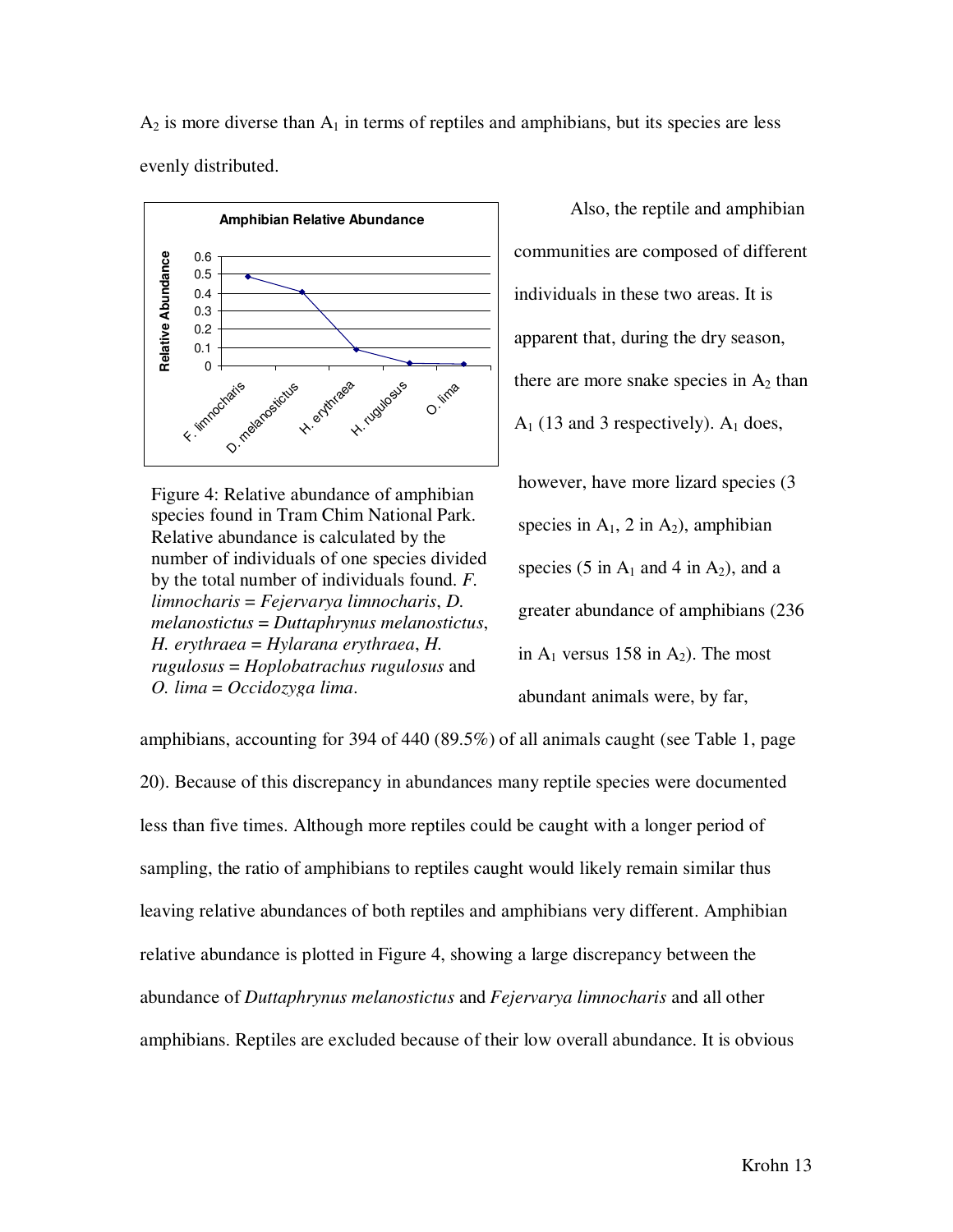$A_2$  is more diverse than  $A_1$  in terms of reptiles and amphibians, but its species are less evenly distributed.



Figure 4: Relative abundance of amphibian species found in Tram Chim National Park. Relative abundance is calculated by the number of individuals of one species divided by the total number of individuals found. *F. limnocharis* = *Fejervarya limnocharis*, *D. melanostictus* = *Duttaphrynus melanostictus*, *H. erythraea* = *Hylarana erythraea*, *H. rugulosus* = *Hoplobatrachus rugulosus* and *O. lima* = *Occidozyga lima*.

Also, the reptile and amphibian communities are composed of different individuals in these two areas. It is apparent that, during the dry season, there are more snake species in  $A_2$  than  $A_1$  (13 and 3 respectively).  $A_1$  does, however, have more lizard species (3 species in  $A_1$ , 2 in  $A_2$ ), amphibian species (5 in  $A_1$  and 4 in  $A_2$ ), and a greater abundance of amphibians (236 in  $A_1$  versus 158 in  $A_2$ ). The most abundant animals were, by far,

amphibians, accounting for 394 of 440 (89.5%) of all animals caught (see Table 1, page 20). Because of this discrepancy in abundances many reptile species were documented less than five times. Although more reptiles could be caught with a longer period of sampling, the ratio of amphibians to reptiles caught would likely remain similar thus leaving relative abundances of both reptiles and amphibians very different. Amphibian relative abundance is plotted in Figure 4, showing a large discrepancy between the abundance of *Duttaphrynus melanostictus* and *Fejervarya limnocharis* and all other amphibians. Reptiles are excluded because of their low overall abundance. It is obvious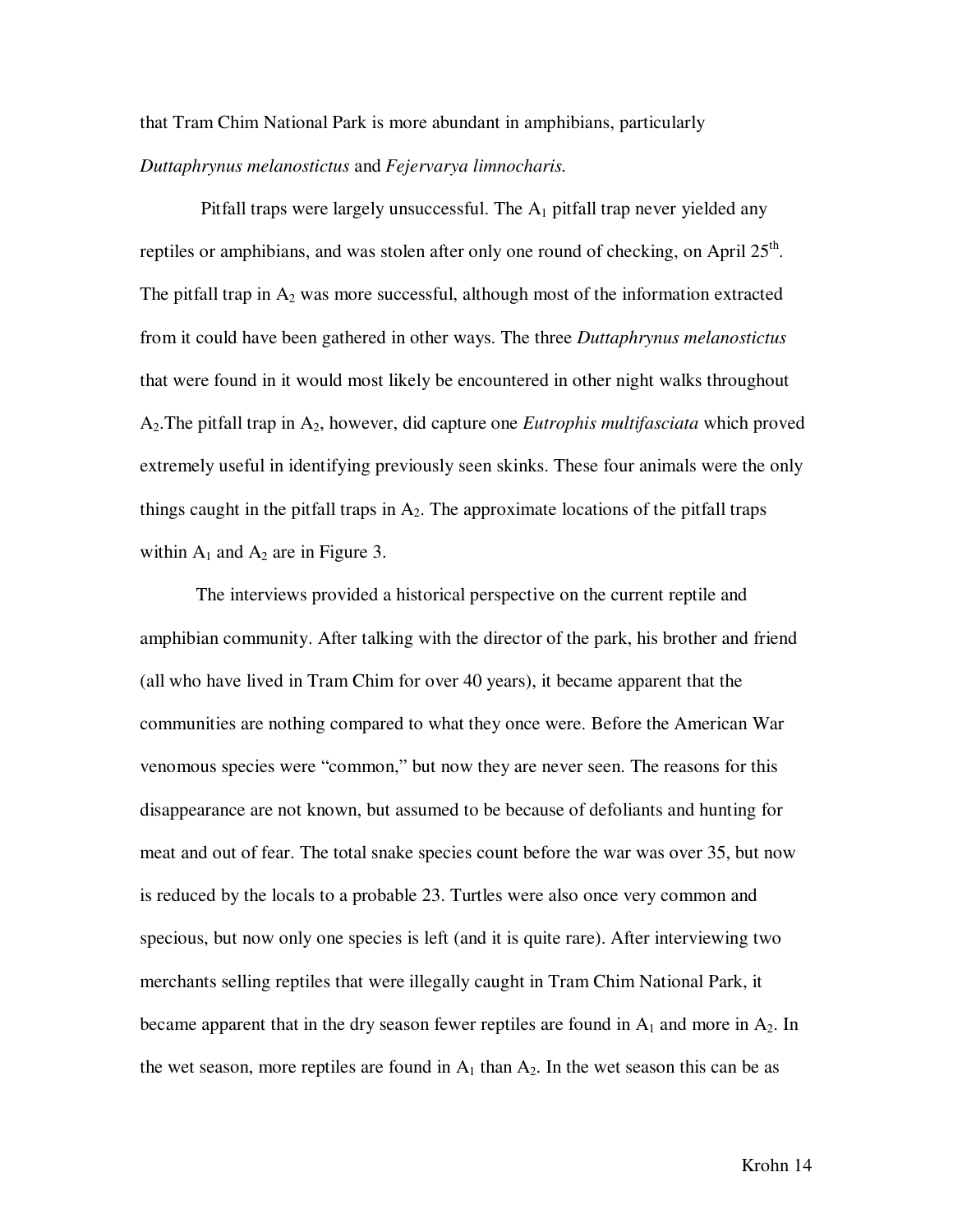that Tram Chim National Park is more abundant in amphibians, particularly *Duttaphrynus melanostictus* and *Fejervarya limnocharis.*

Pitfall traps were largely unsuccessful. The  $A_1$  pitfall trap never yielded any reptiles or amphibians, and was stolen after only one round of checking, on April  $25<sup>th</sup>$ . The pitfall trap in  $A_2$  was more successful, although most of the information extracted from it could have been gathered in other ways. The three *Duttaphrynus melanostictus* that were found in it would most likely be encountered in other night walks throughout A2.The pitfall trap in A2, however, did capture one *Eutrophis multifasciata* which proved extremely useful in identifying previously seen skinks. These four animals were the only things caught in the pitfall traps in  $A_2$ . The approximate locations of the pitfall traps within  $A_1$  and  $A_2$  are in Figure 3.

 The interviews provided a historical perspective on the current reptile and amphibian community. After talking with the director of the park, his brother and friend (all who have lived in Tram Chim for over 40 years), it became apparent that the communities are nothing compared to what they once were. Before the American War venomous species were "common," but now they are never seen. The reasons for this disappearance are not known, but assumed to be because of defoliants and hunting for meat and out of fear. The total snake species count before the war was over 35, but now is reduced by the locals to a probable 23. Turtles were also once very common and specious, but now only one species is left (and it is quite rare). After interviewing two merchants selling reptiles that were illegally caught in Tram Chim National Park, it became apparent that in the dry season fewer reptiles are found in  $A_1$  and more in  $A_2$ . In the wet season, more reptiles are found in  $A_1$  than  $A_2$ . In the wet season this can be as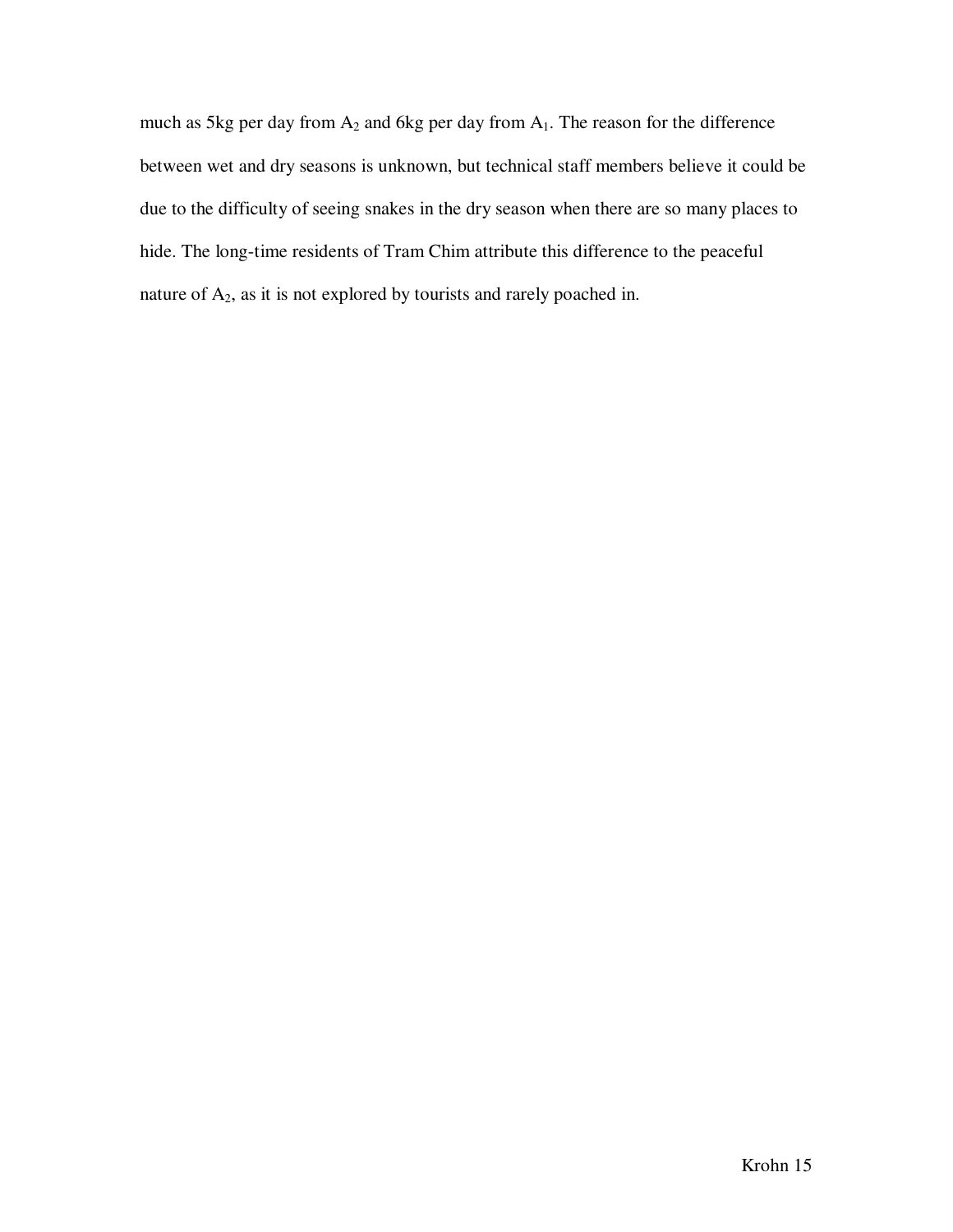much as 5kg per day from  $A_2$  and 6kg per day from  $A_1$ . The reason for the difference between wet and dry seasons is unknown, but technical staff members believe it could be due to the difficulty of seeing snakes in the dry season when there are so many places to hide. The long-time residents of Tram Chim attribute this difference to the peaceful nature of A2, as it is not explored by tourists and rarely poached in.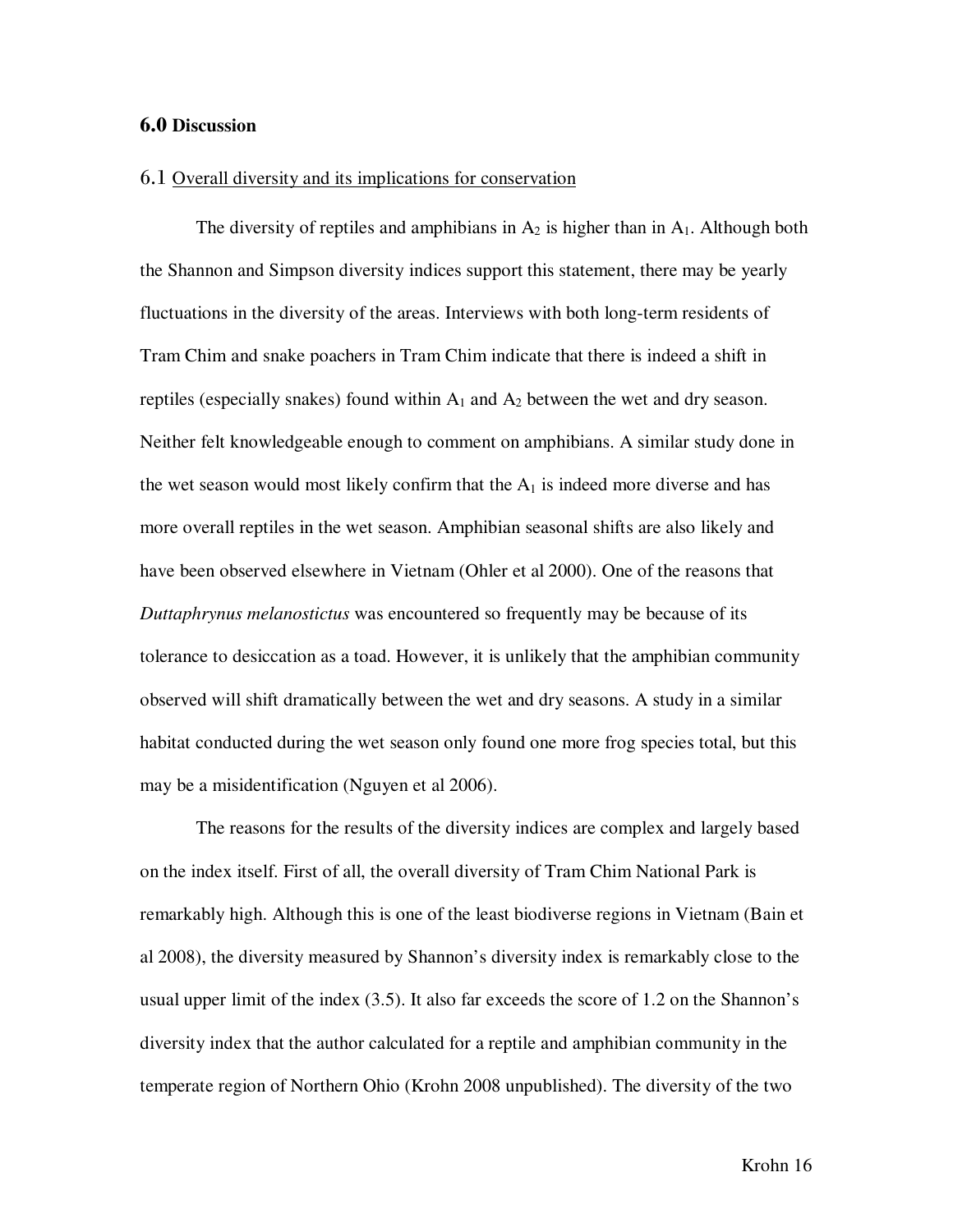#### 6.0 **Discussion**

#### 6.1 Overall diversity and its implications for conservation

The diversity of reptiles and amphibians in  $A_2$  is higher than in  $A_1$ . Although both the Shannon and Simpson diversity indices support this statement, there may be yearly fluctuations in the diversity of the areas. Interviews with both long-term residents of Tram Chim and snake poachers in Tram Chim indicate that there is indeed a shift in reptiles (especially snakes) found within  $A_1$  and  $A_2$  between the wet and dry season. Neither felt knowledgeable enough to comment on amphibians. A similar study done in the wet season would most likely confirm that the  $A_1$  is indeed more diverse and has more overall reptiles in the wet season. Amphibian seasonal shifts are also likely and have been observed elsewhere in Vietnam (Ohler et al 2000). One of the reasons that *Duttaphrynus melanostictus* was encountered so frequently may be because of its tolerance to desiccation as a toad. However, it is unlikely that the amphibian community observed will shift dramatically between the wet and dry seasons. A study in a similar habitat conducted during the wet season only found one more frog species total, but this may be a misidentification (Nguyen et al 2006).

 The reasons for the results of the diversity indices are complex and largely based on the index itself. First of all, the overall diversity of Tram Chim National Park is remarkably high. Although this is one of the least biodiverse regions in Vietnam (Bain et al 2008), the diversity measured by Shannon's diversity index is remarkably close to the usual upper limit of the index (3.5). It also far exceeds the score of 1.2 on the Shannon's diversity index that the author calculated for a reptile and amphibian community in the temperate region of Northern Ohio (Krohn 2008 unpublished). The diversity of the two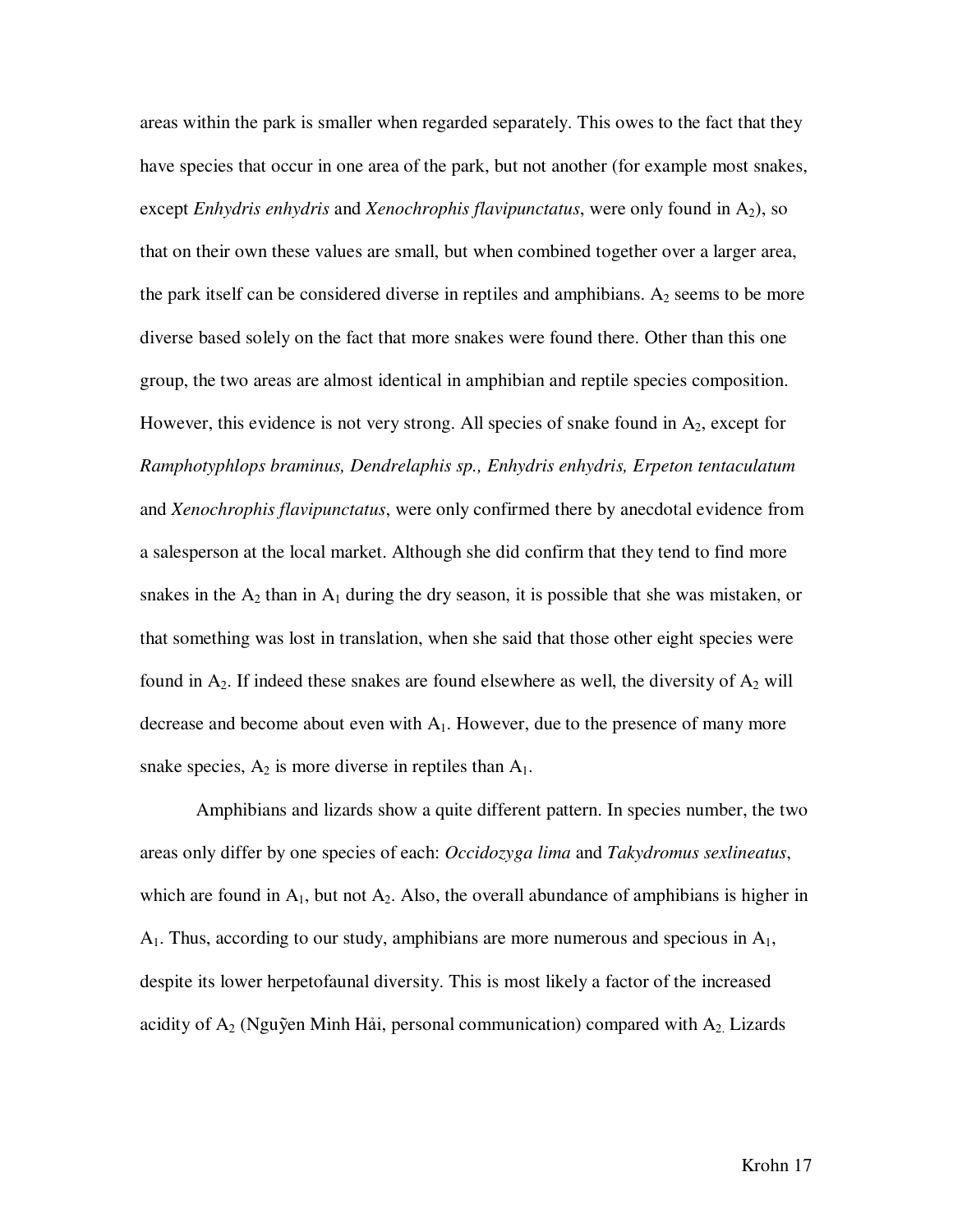areas within the park is smaller when regarded separately. This owes to the fact that they have species that occur in one area of the park, but not another (for example most snakes, except *Enhydris enhydris* and *Xenochrophis flavipunctatus*, were only found in A<sub>2</sub>), so that on their own these values are small, but when combined together over a larger area, the park itself can be considered diverse in reptiles and amphibians.  $A_2$  seems to be more diverse based solely on the fact that more snakes were found there. Other than this one group, the two areas are almost identical in amphibian and reptile species composition. However, this evidence is not very strong. All species of snake found in  $A_2$ , except for *Ramphotyphlops braminus, Dendrelaphis sp., Enhydris enhydris, Erpeton tentaculatum* and *Xenochrophis flavipunctatus*, were only confirmed there by anecdotal evidence from a salesperson at the local market. Although she did confirm that they tend to find more snakes in the  $A_2$  than in  $A_1$  during the dry season, it is possible that she was mistaken, or that something was lost in translation, when she said that those other eight species were found in  $A_2$ . If indeed these snakes are found elsewhere as well, the diversity of  $A_2$  will decrease and become about even with  $A_1$ . However, due to the presence of many more snake species,  $A_2$  is more diverse in reptiles than  $A_1$ .

 Amphibians and lizards show a quite different pattern. In species number, the two areas only differ by one species of each: *Occidozyga lima* and *Takydromus sexlineatus*, which are found in  $A_1$ , but not  $A_2$ . Also, the overall abundance of amphibians is higher in  $A_1$ . Thus, according to our study, amphibians are more numerous and specious in  $A_1$ , despite its lower herpetofaunal diversity. This is most likely a factor of the increased acidity of  $A_2$  (Nguỹen Minh Hải, personal communication) compared with  $A_2$ . Lizards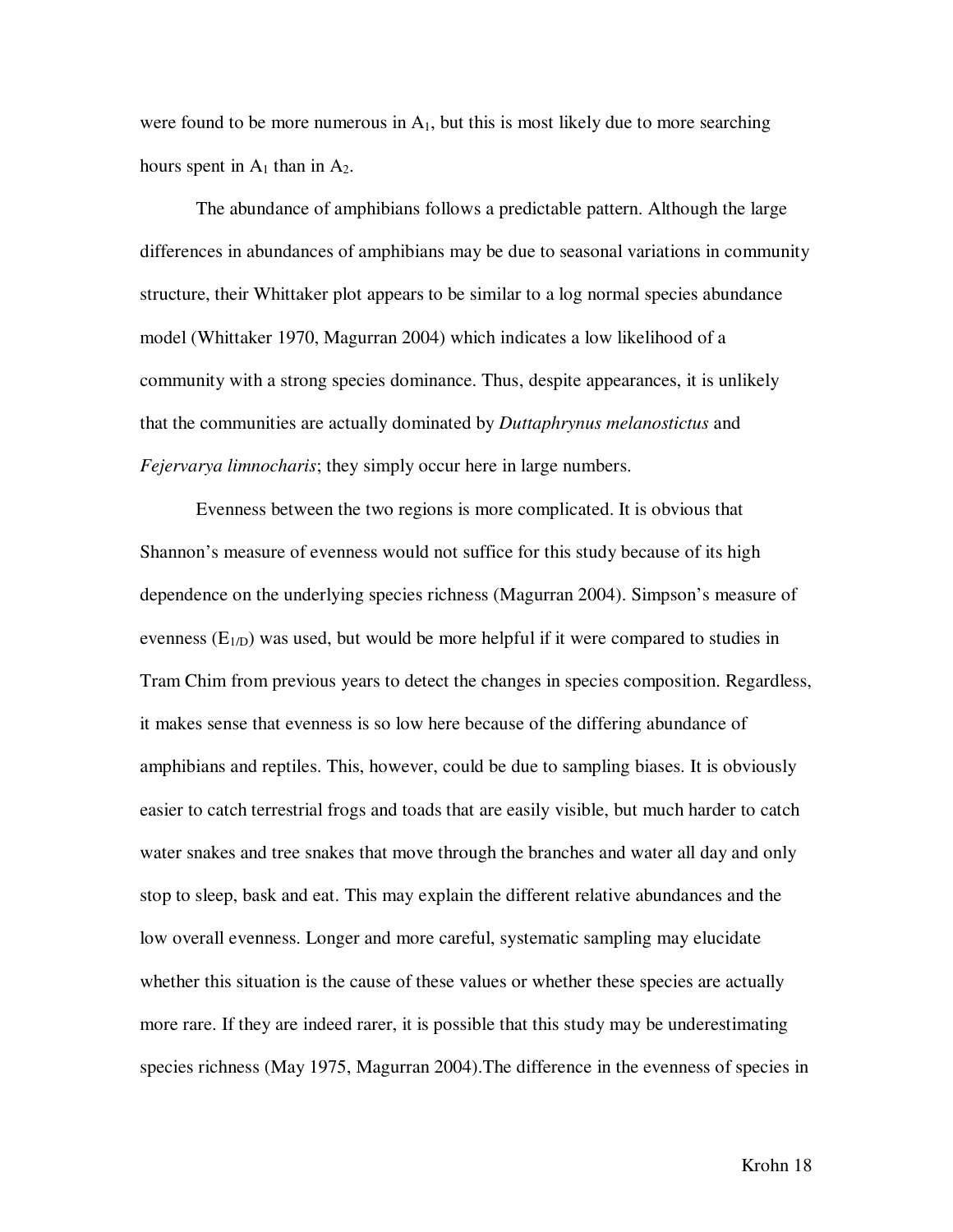were found to be more numerous in  $A_1$ , but this is most likely due to more searching hours spent in  $A_1$  than in  $A_2$ .

 The abundance of amphibians follows a predictable pattern. Although the large differences in abundances of amphibians may be due to seasonal variations in community structure, their Whittaker plot appears to be similar to a log normal species abundance model (Whittaker 1970, Magurran 2004) which indicates a low likelihood of a community with a strong species dominance. Thus, despite appearances, it is unlikely that the communities are actually dominated by *Duttaphrynus melanostictus* and *Fejervarya limnocharis*; they simply occur here in large numbers.

 Evenness between the two regions is more complicated. It is obvious that Shannon's measure of evenness would not suffice for this study because of its high dependence on the underlying species richness (Magurran 2004). Simpson's measure of evenness  $(E_{1/D})$  was used, but would be more helpful if it were compared to studies in Tram Chim from previous years to detect the changes in species composition. Regardless, it makes sense that evenness is so low here because of the differing abundance of amphibians and reptiles. This, however, could be due to sampling biases. It is obviously easier to catch terrestrial frogs and toads that are easily visible, but much harder to catch water snakes and tree snakes that move through the branches and water all day and only stop to sleep, bask and eat. This may explain the different relative abundances and the low overall evenness. Longer and more careful, systematic sampling may elucidate whether this situation is the cause of these values or whether these species are actually more rare. If they are indeed rarer, it is possible that this study may be underestimating species richness (May 1975, Magurran 2004).The difference in the evenness of species in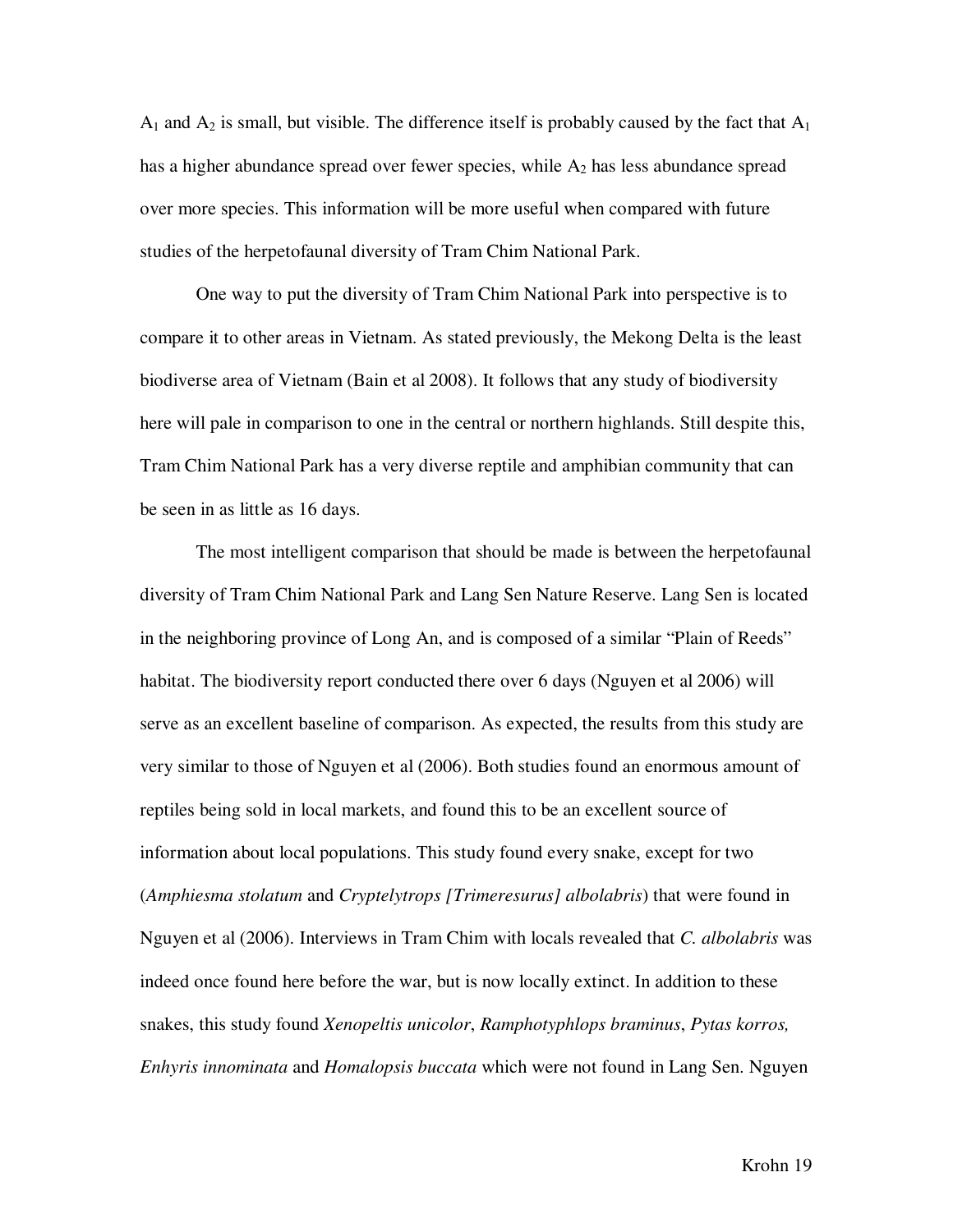$A_1$  and  $A_2$  is small, but visible. The difference itself is probably caused by the fact that  $A_1$ has a higher abundance spread over fewer species, while  $A_2$  has less abundance spread over more species. This information will be more useful when compared with future studies of the herpetofaunal diversity of Tram Chim National Park.

 One way to put the diversity of Tram Chim National Park into perspective is to compare it to other areas in Vietnam. As stated previously, the Mekong Delta is the least biodiverse area of Vietnam (Bain et al 2008). It follows that any study of biodiversity here will pale in comparison to one in the central or northern highlands. Still despite this, Tram Chim National Park has a very diverse reptile and amphibian community that can be seen in as little as 16 days.

The most intelligent comparison that should be made is between the herpetofaunal diversity of Tram Chim National Park and Lang Sen Nature Reserve. Lang Sen is located in the neighboring province of Long An, and is composed of a similar "Plain of Reeds" habitat. The biodiversity report conducted there over 6 days (Nguyen et al 2006) will serve as an excellent baseline of comparison. As expected, the results from this study are very similar to those of Nguyen et al (2006). Both studies found an enormous amount of reptiles being sold in local markets, and found this to be an excellent source of information about local populations. This study found every snake, except for two (*Amphiesma stolatum* and *Cryptelytrops [Trimeresurus] albolabris*) that were found in Nguyen et al (2006). Interviews in Tram Chim with locals revealed that *C. albolabris* was indeed once found here before the war, but is now locally extinct. In addition to these snakes, this study found *Xenopeltis unicolor*, *Ramphotyphlops braminus*, *Pytas korros, Enhyris innominata* and *Homalopsis buccata* which were not found in Lang Sen. Nguyen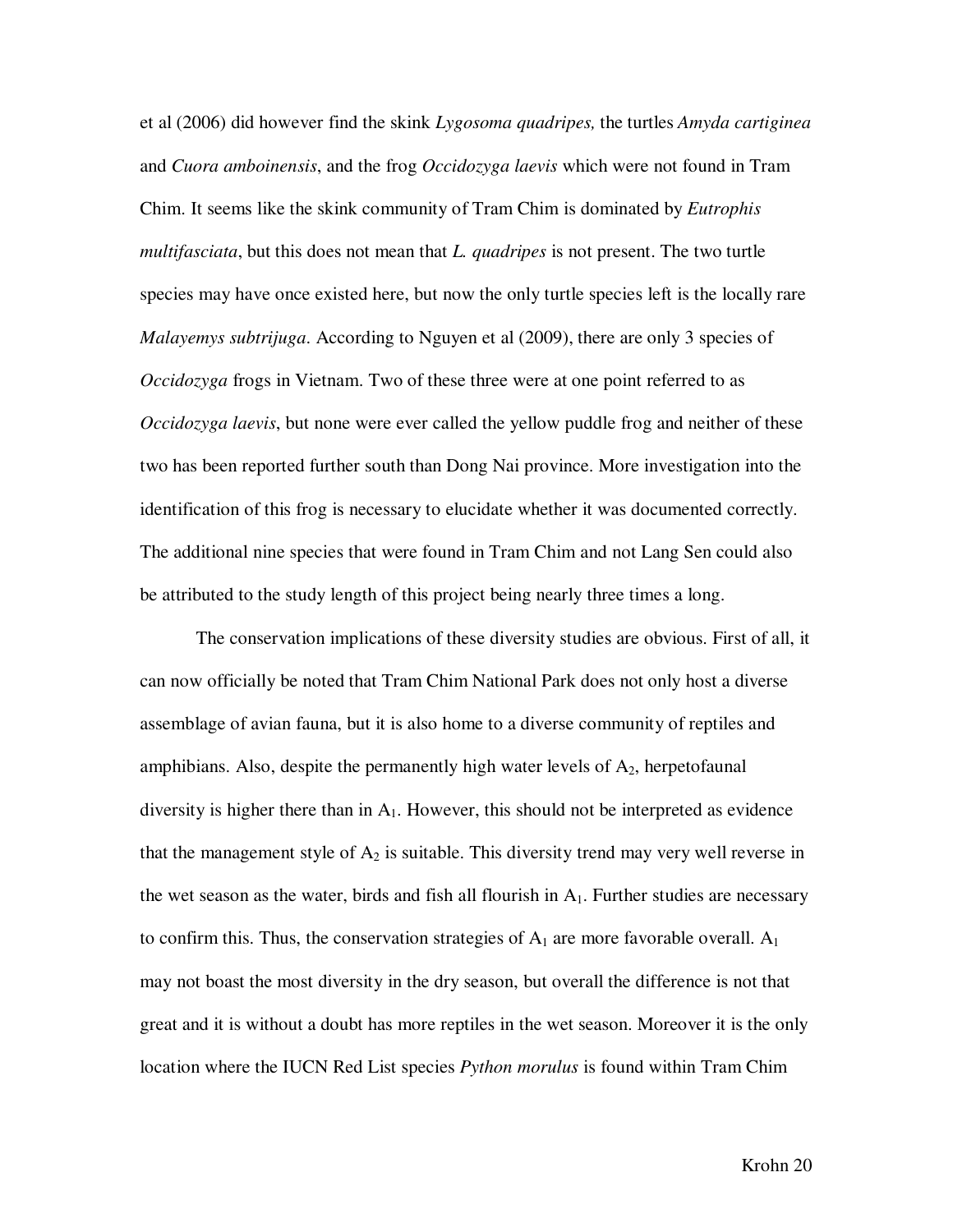et al (2006) did however find the skink *Lygosoma quadripes,* the turtles *Amyda cartiginea*  and *Cuora amboinensis*, and the frog *Occidozyga laevis* which were not found in Tram Chim. It seems like the skink community of Tram Chim is dominated by *Eutrophis multifasciata*, but this does not mean that *L. quadripes* is not present. The two turtle species may have once existed here, but now the only turtle species left is the locally rare *Malayemys subtrijuga*. According to Nguyen et al (2009), there are only 3 species of *Occidozyga* frogs in Vietnam. Two of these three were at one point referred to as *Occidozyga laevis*, but none were ever called the yellow puddle frog and neither of these two has been reported further south than Dong Nai province. More investigation into the identification of this frog is necessary to elucidate whether it was documented correctly. The additional nine species that were found in Tram Chim and not Lang Sen could also be attributed to the study length of this project being nearly three times a long.

The conservation implications of these diversity studies are obvious. First of all, it can now officially be noted that Tram Chim National Park does not only host a diverse assemblage of avian fauna, but it is also home to a diverse community of reptiles and amphibians. Also, despite the permanently high water levels of  $A_2$ , herpetofaunal diversity is higher there than in  $A_1$ . However, this should not be interpreted as evidence that the management style of  $A_2$  is suitable. This diversity trend may very well reverse in the wet season as the water, birds and fish all flourish in  $A_1$ . Further studies are necessary to confirm this. Thus, the conservation strategies of  $A_1$  are more favorable overall.  $A_1$ may not boast the most diversity in the dry season, but overall the difference is not that great and it is without a doubt has more reptiles in the wet season. Moreover it is the only location where the IUCN Red List species *Python morulus* is found within Tram Chim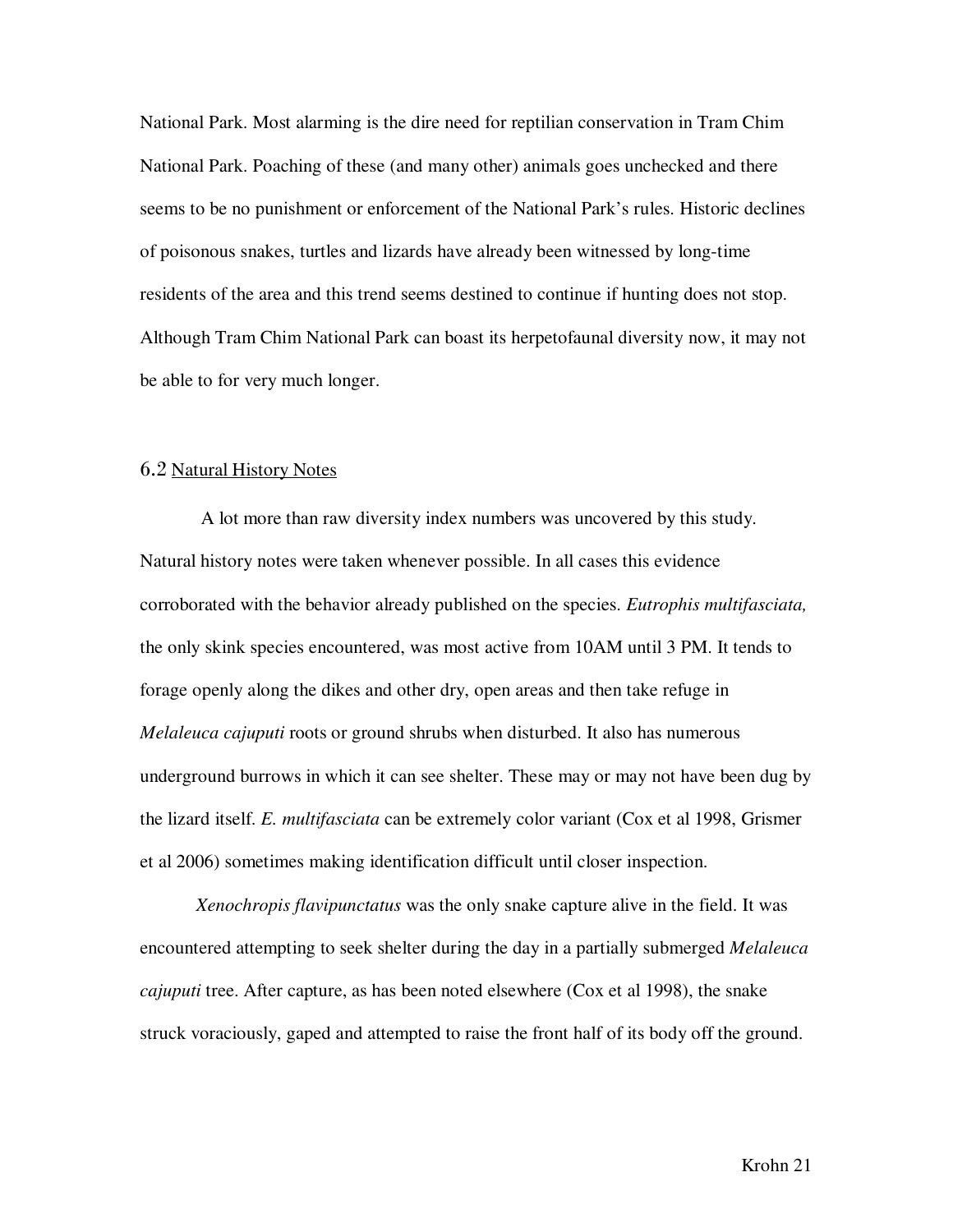National Park. Most alarming is the dire need for reptilian conservation in Tram Chim National Park. Poaching of these (and many other) animals goes unchecked and there seems to be no punishment or enforcement of the National Park's rules. Historic declines of poisonous snakes, turtles and lizards have already been witnessed by long-time residents of the area and this trend seems destined to continue if hunting does not stop. Although Tram Chim National Park can boast its herpetofaunal diversity now, it may not be able to for very much longer.

#### 6.2 Natural History Notes

 A lot more than raw diversity index numbers was uncovered by this study. Natural history notes were taken whenever possible. In all cases this evidence corroborated with the behavior already published on the species. *Eutrophis multifasciata,* the only skink species encountered, was most active from 10AM until 3 PM. It tends to forage openly along the dikes and other dry, open areas and then take refuge in *Melaleuca cajuputi* roots or ground shrubs when disturbed. It also has numerous underground burrows in which it can see shelter. These may or may not have been dug by the lizard itself. *E. multifasciata* can be extremely color variant (Cox et al 1998, Grismer et al 2006) sometimes making identification difficult until closer inspection.

*Xenochropis flavipunctatus* was the only snake capture alive in the field. It was encountered attempting to seek shelter during the day in a partially submerged *Melaleuca cajuputi* tree. After capture, as has been noted elsewhere (Cox et al 1998), the snake struck voraciously, gaped and attempted to raise the front half of its body off the ground.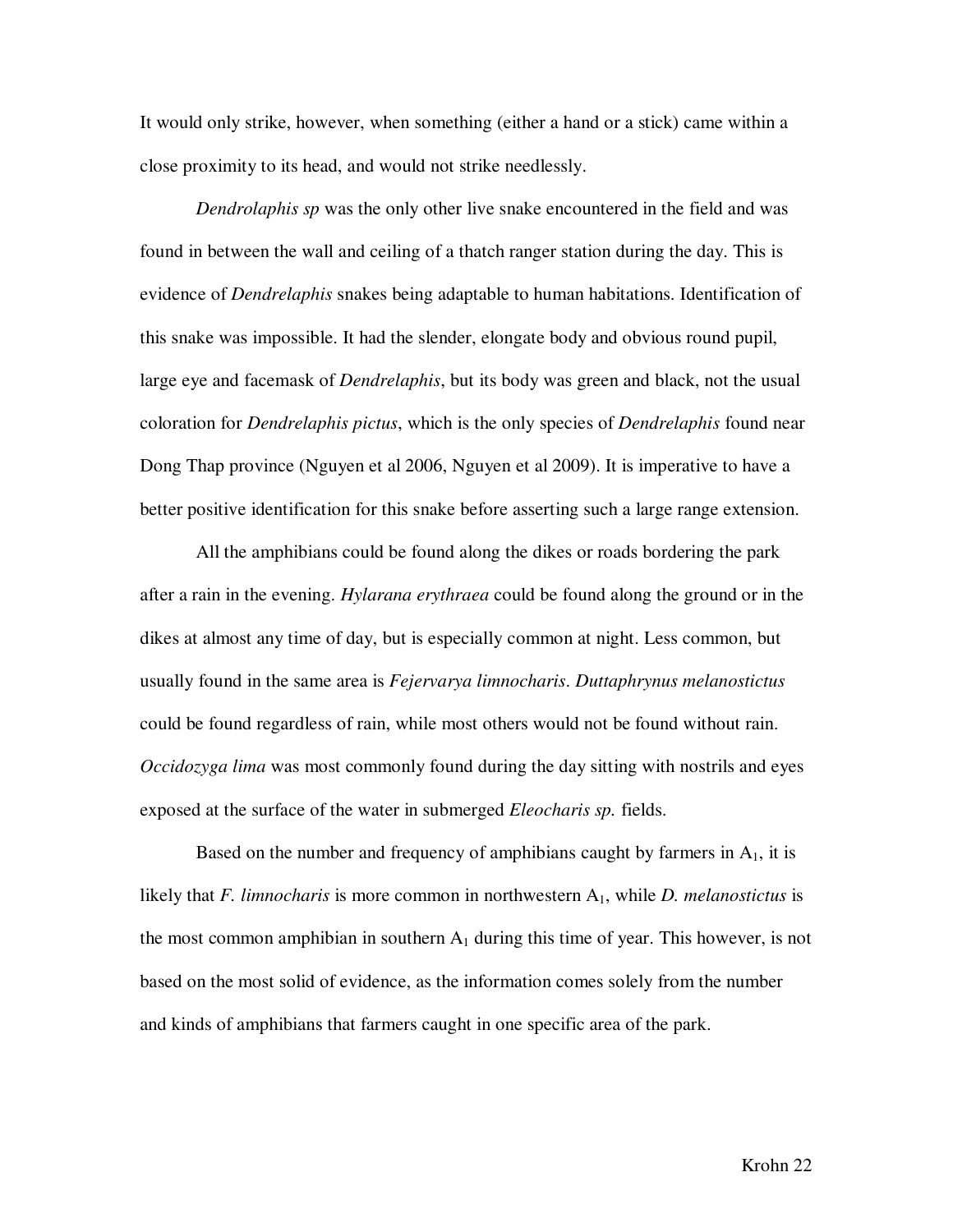It would only strike, however, when something (either a hand or a stick) came within a close proximity to its head, and would not strike needlessly.

*Dendrolaphis sp* was the only other live snake encountered in the field and was found in between the wall and ceiling of a thatch ranger station during the day. This is evidence of *Dendrelaphis* snakes being adaptable to human habitations. Identification of this snake was impossible. It had the slender, elongate body and obvious round pupil, large eye and facemask of *Dendrelaphis*, but its body was green and black, not the usual coloration for *Dendrelaphis pictus*, which is the only species of *Dendrelaphis* found near Dong Thap province (Nguyen et al 2006, Nguyen et al 2009). It is imperative to have a better positive identification for this snake before asserting such a large range extension.

All the amphibians could be found along the dikes or roads bordering the park after a rain in the evening. *Hylarana erythraea* could be found along the ground or in the dikes at almost any time of day, but is especially common at night. Less common, but usually found in the same area is *Fejervarya limnocharis*. *Duttaphrynus melanostictus* could be found regardless of rain, while most others would not be found without rain. *Occidozyga lima* was most commonly found during the day sitting with nostrils and eyes exposed at the surface of the water in submerged *Eleocharis sp.* fields.

Based on the number and frequency of amphibians caught by farmers in  $A<sub>1</sub>$ , it is likely that *F. limnocharis* is more common in northwestern A<sub>1</sub>, while *D. melanostictus* is the most common amphibian in southern  $A_1$  during this time of year. This however, is not based on the most solid of evidence, as the information comes solely from the number and kinds of amphibians that farmers caught in one specific area of the park.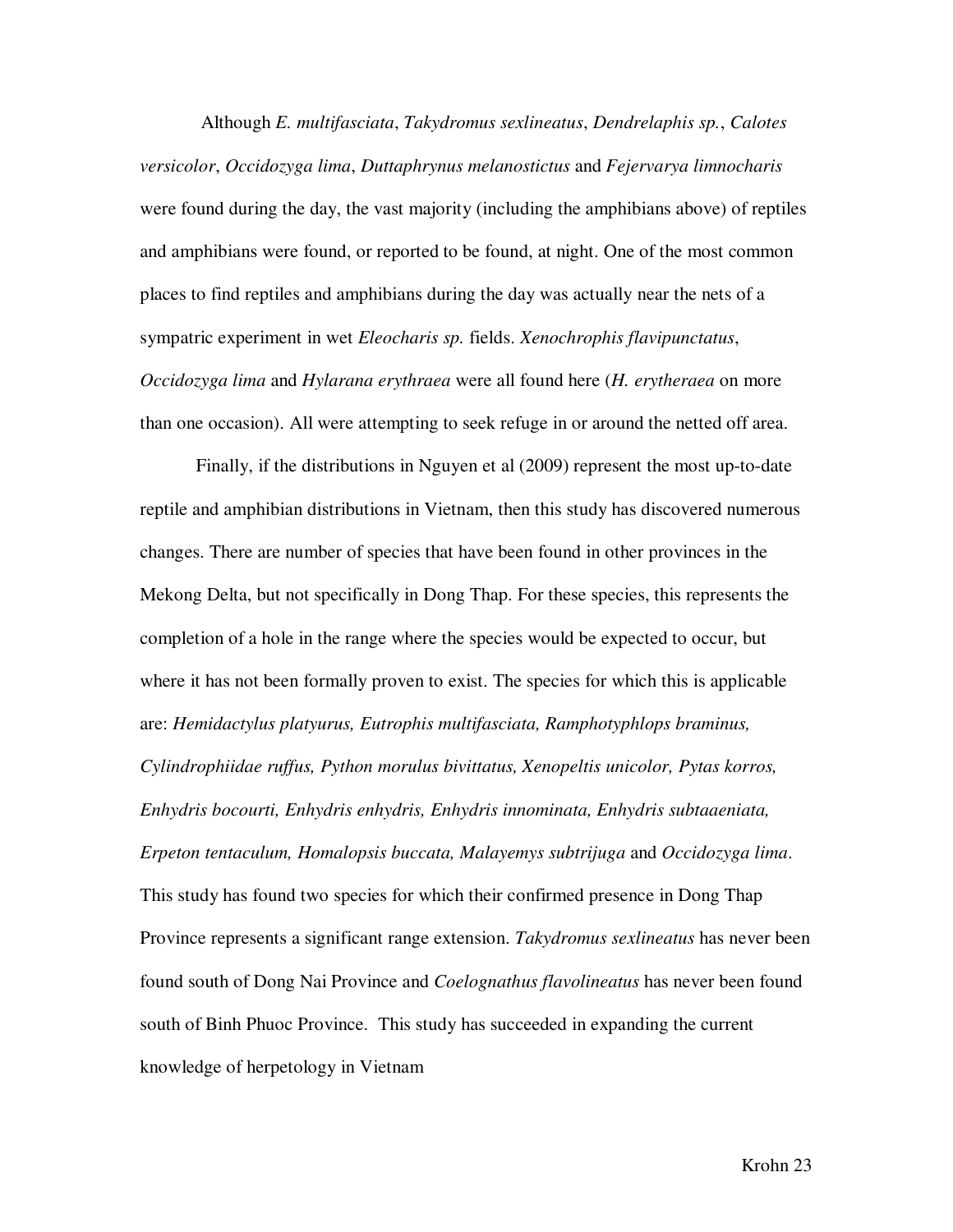Although *E. multifasciata*, *Takydromus sexlineatus*, *Dendrelaphis sp.*, *Calotes versicolor*, *Occidozyga lima*, *Duttaphrynus melanostictus* and *Fejervarya limnocharis* were found during the day, the vast majority (including the amphibians above) of reptiles and amphibians were found, or reported to be found, at night. One of the most common places to find reptiles and amphibians during the day was actually near the nets of a sympatric experiment in wet *Eleocharis sp.* fields. *Xenochrophis flavipunctatus*, *Occidozyga lima* and *Hylarana erythraea* were all found here (*H. erytheraea* on more than one occasion). All were attempting to seek refuge in or around the netted off area.

 Finally, if the distributions in Nguyen et al (2009) represent the most up-to-date reptile and amphibian distributions in Vietnam, then this study has discovered numerous changes. There are number of species that have been found in other provinces in the Mekong Delta, but not specifically in Dong Thap. For these species, this represents the completion of a hole in the range where the species would be expected to occur, but where it has not been formally proven to exist. The species for which this is applicable are: *Hemidactylus platyurus, Eutrophis multifasciata, Ramphotyphlops braminus, Cylindrophiidae ruffus, Python morulus bivittatus, Xenopeltis unicolor, Pytas korros, Enhydris bocourti, Enhydris enhydris, Enhydris innominata, Enhydris subtaaeniata, Erpeton tentaculum, Homalopsis buccata, Malayemys subtrijuga* and *Occidozyga lima*. This study has found two species for which their confirmed presence in Dong Thap Province represents a significant range extension. *Takydromus sexlineatus* has never been found south of Dong Nai Province and *Coelognathus flavolineatus* has never been found south of Binh Phuoc Province. This study has succeeded in expanding the current knowledge of herpetology in Vietnam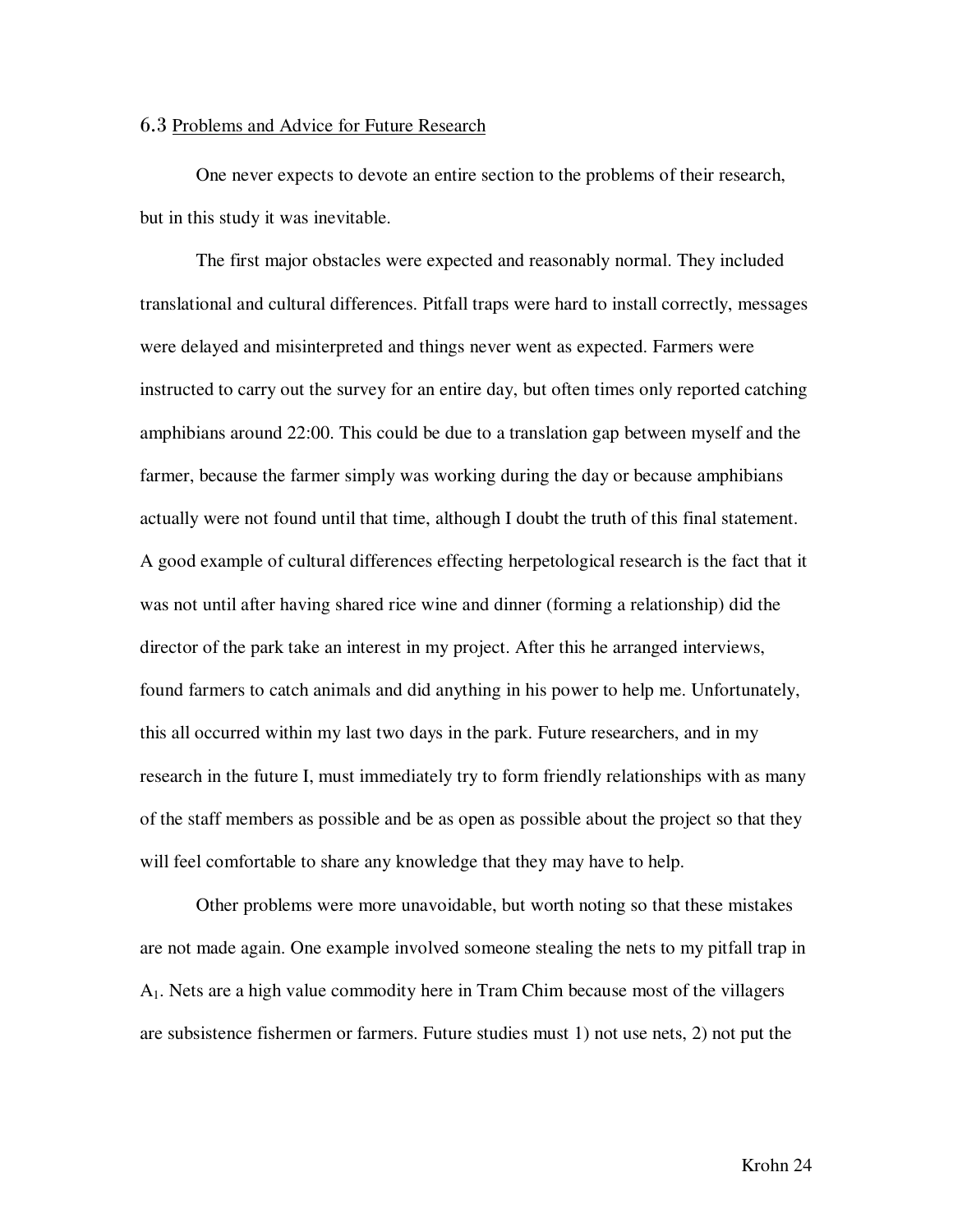#### 6.3 Problems and Advice for Future Research

 One never expects to devote an entire section to the problems of their research, but in this study it was inevitable.

 The first major obstacles were expected and reasonably normal. They included translational and cultural differences. Pitfall traps were hard to install correctly, messages were delayed and misinterpreted and things never went as expected. Farmers were instructed to carry out the survey for an entire day, but often times only reported catching amphibians around 22:00. This could be due to a translation gap between myself and the farmer, because the farmer simply was working during the day or because amphibians actually were not found until that time, although I doubt the truth of this final statement. A good example of cultural differences effecting herpetological research is the fact that it was not until after having shared rice wine and dinner (forming a relationship) did the director of the park take an interest in my project. After this he arranged interviews, found farmers to catch animals and did anything in his power to help me. Unfortunately, this all occurred within my last two days in the park. Future researchers, and in my research in the future I, must immediately try to form friendly relationships with as many of the staff members as possible and be as open as possible about the project so that they will feel comfortable to share any knowledge that they may have to help.

 Other problems were more unavoidable, but worth noting so that these mistakes are not made again. One example involved someone stealing the nets to my pitfall trap in A1. Nets are a high value commodity here in Tram Chim because most of the villagers are subsistence fishermen or farmers. Future studies must 1) not use nets, 2) not put the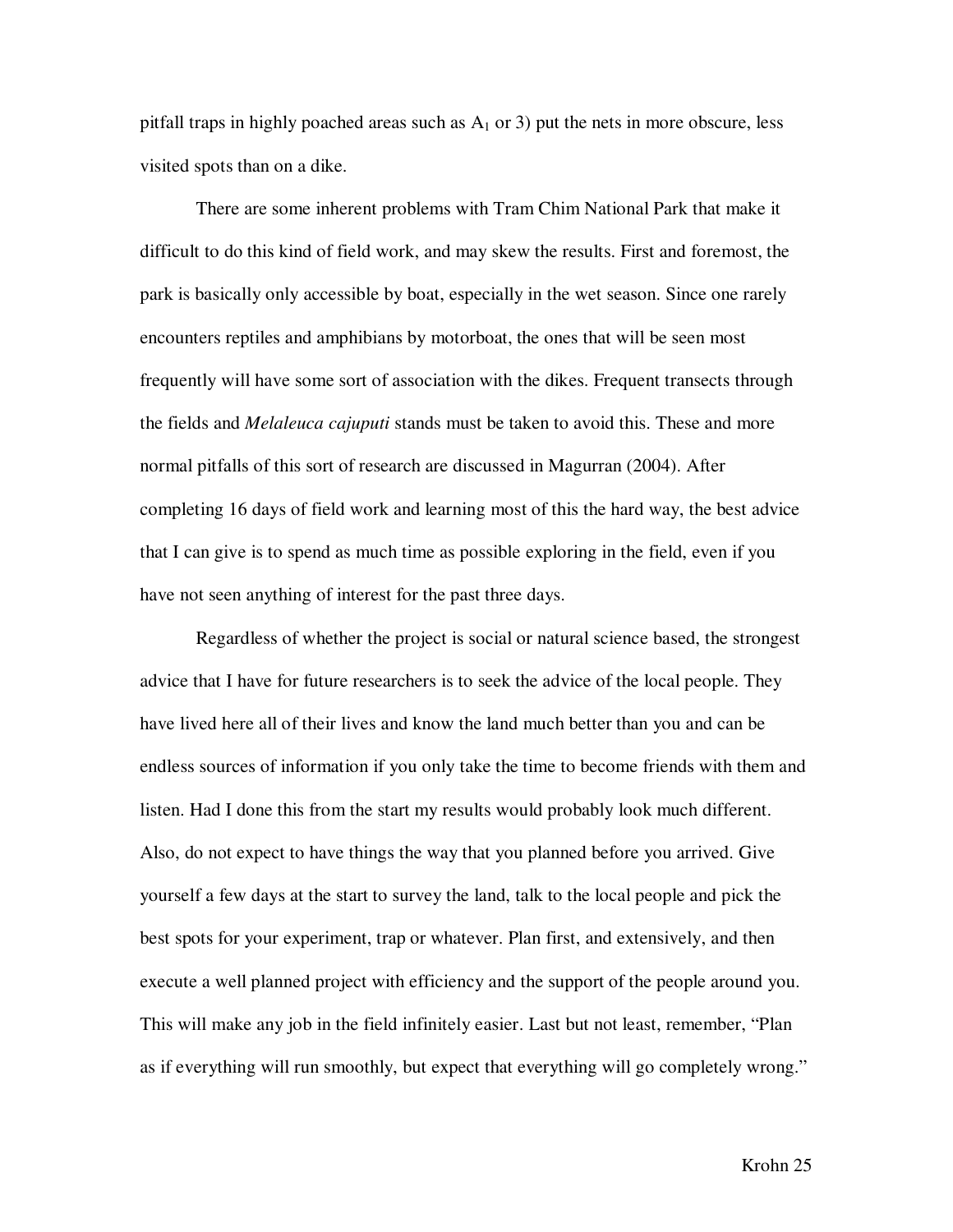pitfall traps in highly poached areas such as  $A_1$  or 3) put the nets in more obscure, less visited spots than on a dike.

 There are some inherent problems with Tram Chim National Park that make it difficult to do this kind of field work, and may skew the results. First and foremost, the park is basically only accessible by boat, especially in the wet season. Since one rarely encounters reptiles and amphibians by motorboat, the ones that will be seen most frequently will have some sort of association with the dikes. Frequent transects through the fields and *Melaleuca cajuputi* stands must be taken to avoid this. These and more normal pitfalls of this sort of research are discussed in Magurran (2004). After completing 16 days of field work and learning most of this the hard way, the best advice that I can give is to spend as much time as possible exploring in the field, even if you have not seen anything of interest for the past three days.

 Regardless of whether the project is social or natural science based, the strongest advice that I have for future researchers is to seek the advice of the local people. They have lived here all of their lives and know the land much better than you and can be endless sources of information if you only take the time to become friends with them and listen. Had I done this from the start my results would probably look much different. Also, do not expect to have things the way that you planned before you arrived. Give yourself a few days at the start to survey the land, talk to the local people and pick the best spots for your experiment, trap or whatever. Plan first, and extensively, and then execute a well planned project with efficiency and the support of the people around you. This will make any job in the field infinitely easier. Last but not least, remember, "Plan as if everything will run smoothly, but expect that everything will go completely wrong."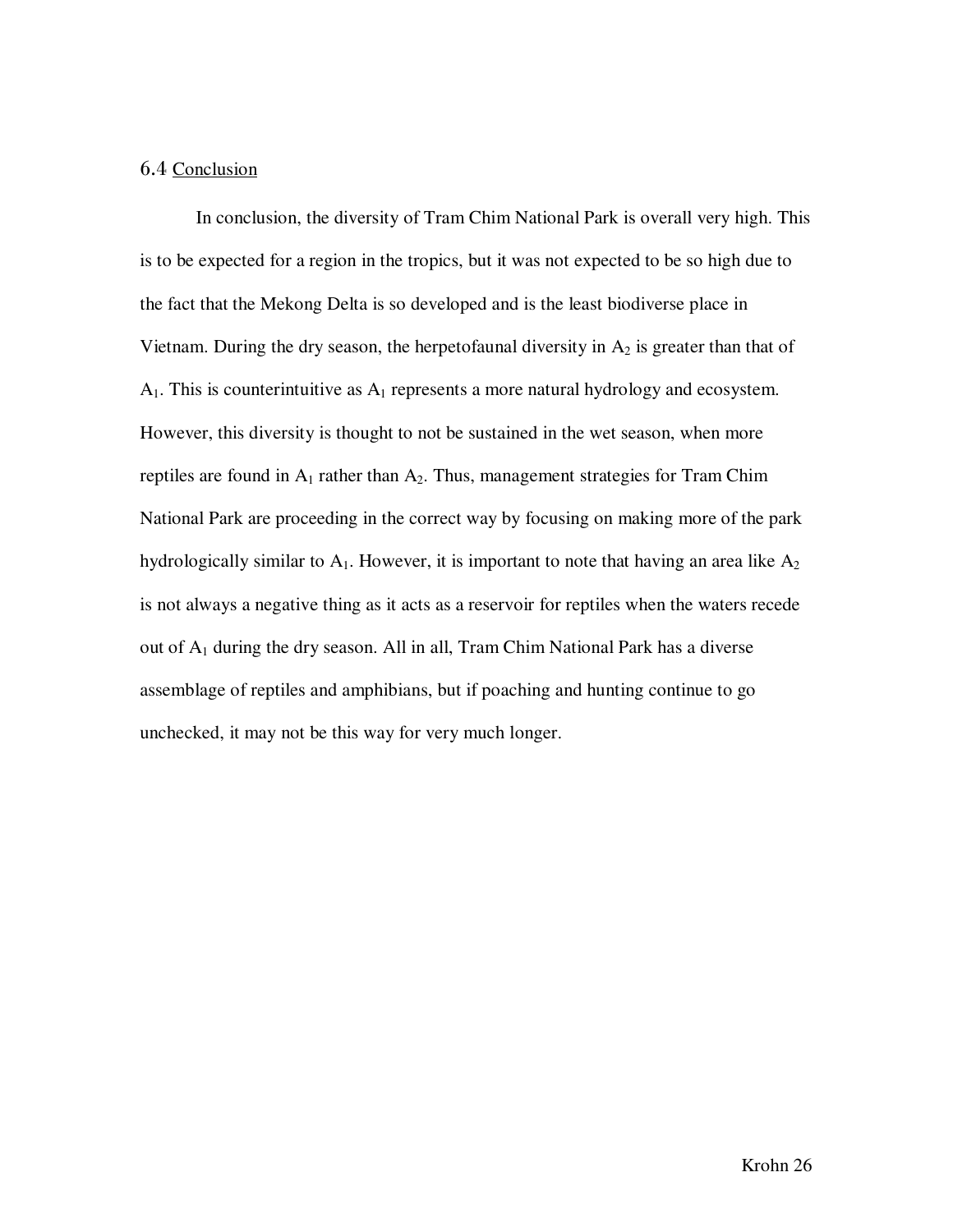#### 6.4 Conclusion

 In conclusion, the diversity of Tram Chim National Park is overall very high. This is to be expected for a region in the tropics, but it was not expected to be so high due to the fact that the Mekong Delta is so developed and is the least biodiverse place in Vietnam. During the dry season, the herpetofaunal diversity in  $A_2$  is greater than that of  $A_1$ . This is counterintuitive as  $A_1$  represents a more natural hydrology and ecosystem. However, this diversity is thought to not be sustained in the wet season, when more reptiles are found in  $A_1$  rather than  $A_2$ . Thus, management strategies for Tram Chim National Park are proceeding in the correct way by focusing on making more of the park hydrologically similar to  $A_1$ . However, it is important to note that having an area like  $A_2$ is not always a negative thing as it acts as a reservoir for reptiles when the waters recede out of  $A_1$  during the dry season. All in all, Tram Chim National Park has a diverse assemblage of reptiles and amphibians, but if poaching and hunting continue to go unchecked, it may not be this way for very much longer.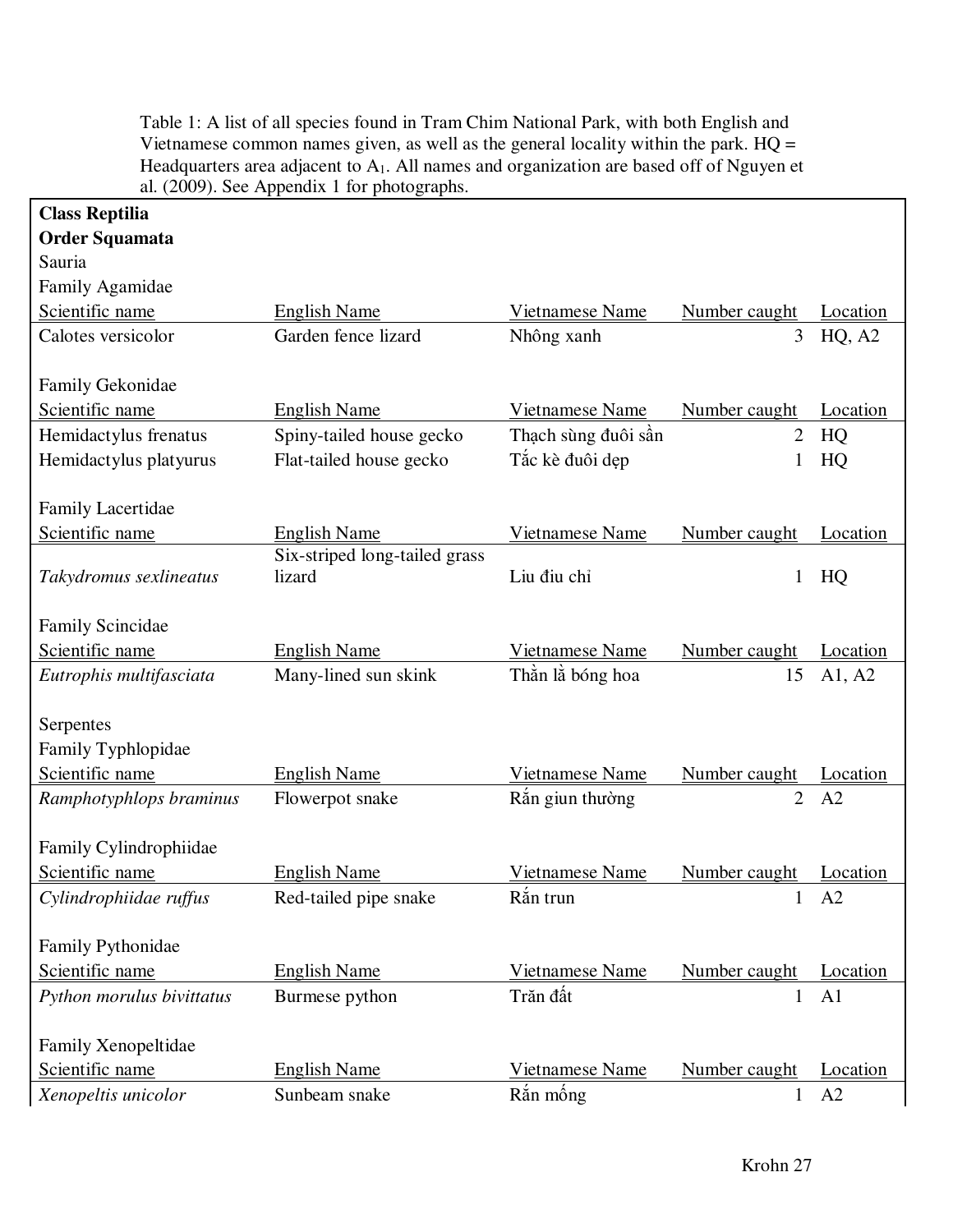| <b>Class Reptilia</b>                      | al. $(2009)$ . See Appendix 1 for photographs. |                     |                |                |
|--------------------------------------------|------------------------------------------------|---------------------|----------------|----------------|
| <b>Order Squamata</b>                      |                                                |                     |                |                |
| Sauria                                     |                                                |                     |                |                |
| Family Agamidae                            |                                                |                     |                |                |
| Scientific name                            | <b>English Name</b>                            | Vietnamese Name     | Number caught  | Location       |
| Calotes versicolor                         | Garden fence lizard                            | Nhông xanh          | 3              | HQ, A2         |
|                                            |                                                |                     |                |                |
| Family Gekonidae                           |                                                |                     |                |                |
| Scientific name                            | <b>English Name</b>                            | Vietnamese Name     | Number caught  | Location       |
| Hemidactylus frenatus                      | Spiny-tailed house gecko                       | Thạch sùng đuôi sần | $\overline{2}$ | HQ             |
| Hemidactylus platyurus                     | Flat-tailed house gecko                        | Tắc kè đuôi dẹp     |                | HQ             |
|                                            |                                                |                     |                |                |
| <b>Family Lacertidae</b>                   |                                                |                     |                |                |
| Scientific name                            | <b>English Name</b>                            | Vietnamese Name     | Number caught  | Location       |
|                                            | Six-striped long-tailed grass                  |                     |                |                |
| Takydromus sexlineatus                     | lizard                                         | Liu điu chỉ         | 1              | HQ             |
|                                            |                                                |                     |                |                |
| <b>Family Scincidae</b><br>Scientific name | <b>English Name</b>                            | Vietnamese Name     | Number caught  | Location       |
| Eutrophis multifasciata                    | Many-lined sun skink                           | Thần là bóng hoa    | 15             | A1, A2         |
|                                            |                                                |                     |                |                |
| Serpentes                                  |                                                |                     |                |                |
| Family Typhlopidae                         |                                                |                     |                |                |
| Scientific name                            | <b>English Name</b>                            | Vietnamese Name     | Number caught  | Location       |
| Ramphotyphlops braminus                    | Flowerpot snake                                | Rắn giun thường     | $\overline{2}$ | A2             |
|                                            |                                                |                     |                |                |
| Family Cylindrophiidae                     |                                                |                     |                |                |
| Scientific name                            | <b>English Name</b>                            | Vietnamese Name     | Number caught  | Location       |
| Cylindrophiidae ruffus                     | Red-tailed pipe snake                          | Rắn trun            | $\mathbf 1$    | A2             |
|                                            |                                                |                     |                |                |
| Family Pythonidae                          |                                                |                     |                |                |
| Scientific name                            | <b>English Name</b>                            | Vietnamese Name     | Number caught  | Location       |
| Python morulus bivittatus                  | Burmese python                                 | Trăn đất            | $\mathbf{1}$   | A <sub>1</sub> |
|                                            |                                                |                     |                |                |
| Family Xenopeltidae                        |                                                |                     |                |                |
| Scientific name                            | <b>English Name</b>                            | Vietnamese Name     | Number caught  | Location       |
| Xenopeltis unicolor                        | Sunbeam snake                                  | Rắn mống            | 1              | A2             |

Table 1: A list of all species found in Tram Chim National Park, with both English and Vietnamese common names given, as well as the general locality within the park. HQ = Headquarters area adjacent to  $A_1$ . All names and organization are based off of Nguyen et al. (2009). See Appendix 1 for photographs.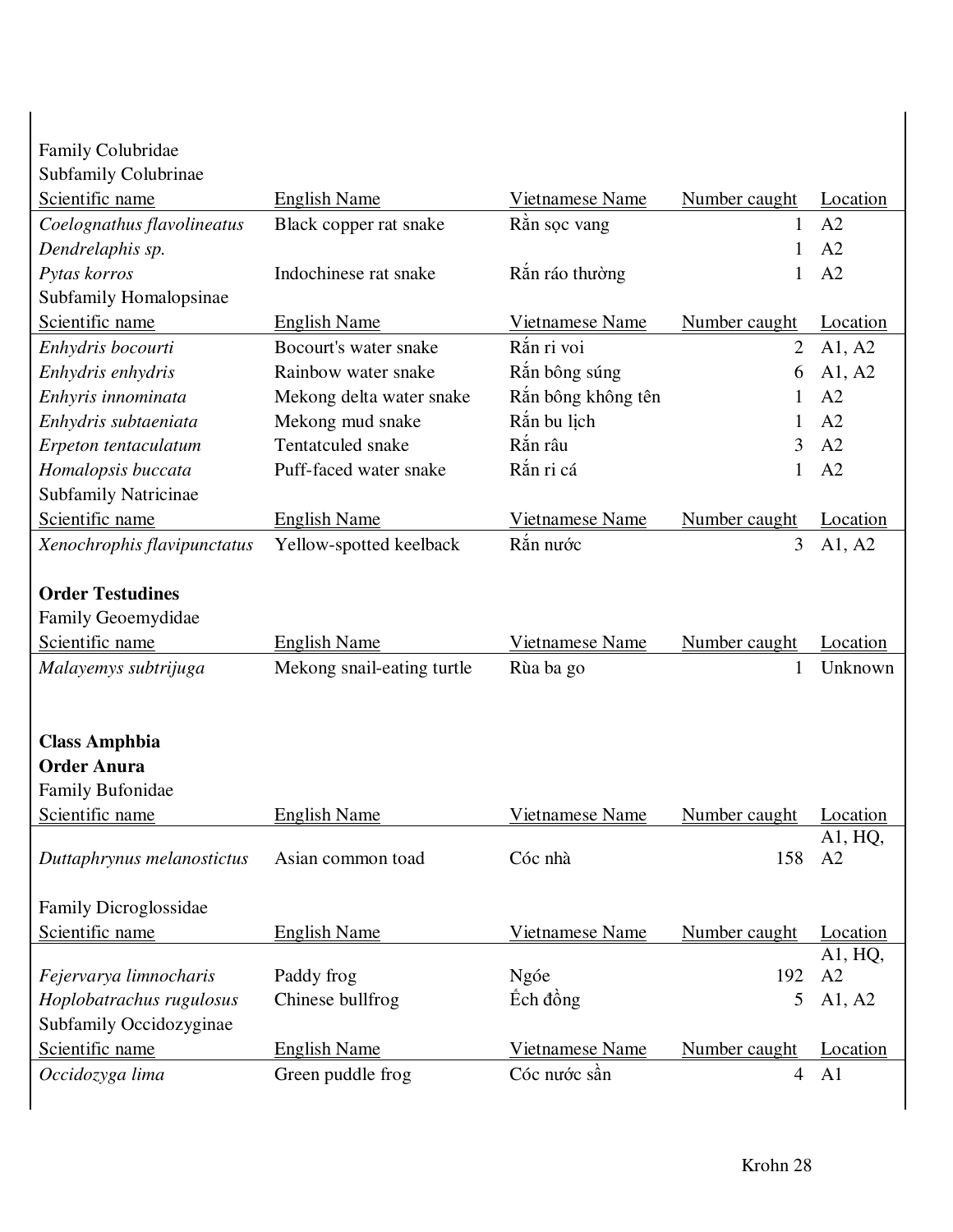| Family Colubridae           |                            |                    |                |                 |
|-----------------------------|----------------------------|--------------------|----------------|-----------------|
| Subfamily Colubrinae        |                            |                    |                |                 |
| Scientific name             | <b>English Name</b>        | Vietnamese Name    | Number caught  | Location        |
| Coelognathus flavolineatus  | Black copper rat snake     | Rån soc vang       | 1              | A2              |
| Dendrelaphis sp.            |                            |                    | 1              | A2              |
| Pytas korros                | Indochinese rat snake      | Rắn ráo thường     | $\mathbf{1}$   | A2              |
| Subfamily Homalopsinae      |                            |                    |                |                 |
| Scientific name             | <b>English Name</b>        | Vietnamese Name    | Number caught  | Location        |
| Enhydris bocourti           | Bocourt's water snake      | Rắn ri voi         | $\overline{2}$ | A1, A2          |
| Enhydris enhydris           | Rainbow water snake        | Rắn bông súng      | 6              | A1, A2          |
| Enhyris innominata          | Mekong delta water snake   | Rắn bông không tên | 1              | A2              |
| Enhydris subtaeniata        | Mekong mud snake           | Rắn bu lịch        | 1              | A2              |
| Erpeton tentaculatum        | Tentatculed snake          | Rắn râu            | $\overline{3}$ | A <sub>2</sub>  |
| Homalopsis buccata          | Puff-faced water snake     | Rắn ri cá          | 1              | A2              |
| Subfamily Natricinae        |                            |                    |                |                 |
| Scientific name             | <b>English Name</b>        | Vietnamese Name    | Number caught  | Location        |
| Xenochrophis flavipunctatus | Yellow-spotted keelback    | Rắn nước           | $\overline{3}$ | A1, A2          |
| <b>Order Testudines</b>     |                            |                    |                |                 |
| Family Geoemydidae          |                            |                    |                |                 |
| Scientific name             | <b>English Name</b>        | Vietnamese Name    | Number caught  | Location        |
| Malayemys subtrijuga        | Mekong snail-eating turtle | Rùa ba go          | 1              | Unknown         |
|                             |                            |                    |                |                 |
| <b>Class Amphbia</b>        |                            |                    |                |                 |
| <b>Order Anura</b>          |                            |                    |                |                 |
| Family Bufonidae            |                            |                    |                |                 |
| Scientific name             | <b>English Name</b>        | Vietnamese Name    | Number caught  | <b>Location</b> |
|                             |                            |                    |                | A1, HQ,         |
| Duttaphrynus melanostictus  | Asian common toad          | Cóc nhà            | 158            | A2              |
| Family Dicroglossidae       |                            |                    |                |                 |
| Scientific name             | <b>English Name</b>        | Vietnamese Name    | Number caught  | Location        |
|                             |                            |                    |                | A1, HQ,         |
| Fejervarya limnocharis      | Paddy frog                 | Ngóe               | 192            | A2              |
| Hoplobatrachus rugulosus    | Chinese bullfrog           | Éch đồng           | 5              | A1, A2          |
| Subfamily Occidozyginae     |                            |                    |                |                 |
| Scientific name             | <b>English Name</b>        | Vietnamese Name    | Number caught  | Location        |
|                             |                            |                    |                |                 |
| Occidozyga lima             | Green puddle frog          | Cóc nước sần       | $\overline{4}$ | A <sub>1</sub>  |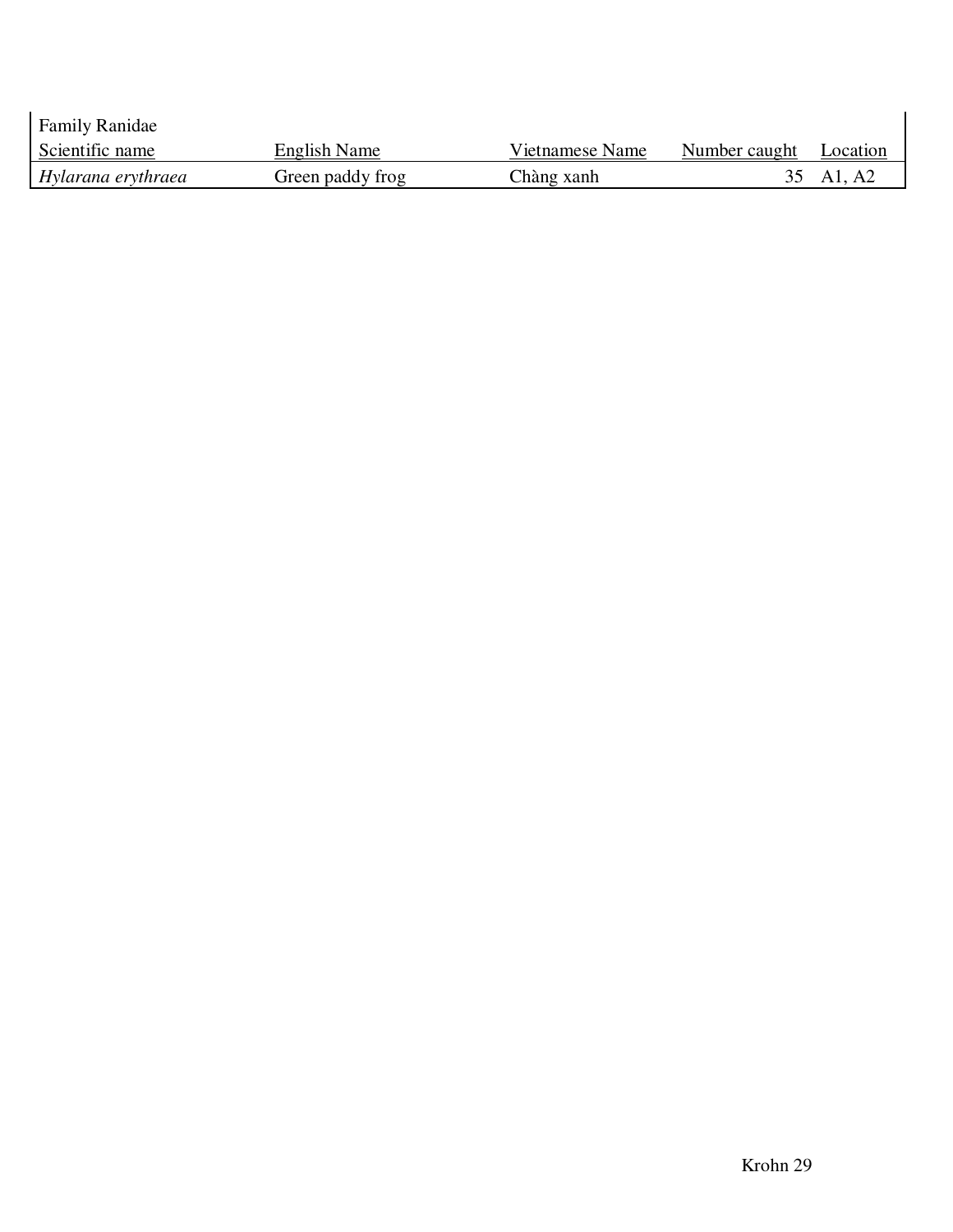| <b>Family Ranidae</b> |                  |                 |               |           |
|-----------------------|------------------|-----------------|---------------|-----------|
| Scientific name       | English Name     | Vietnamese Name | Number caught | Location  |
| Hylarana erythraea    | Green paddy frog | Chàng xanh      |               | 35 Al, A2 |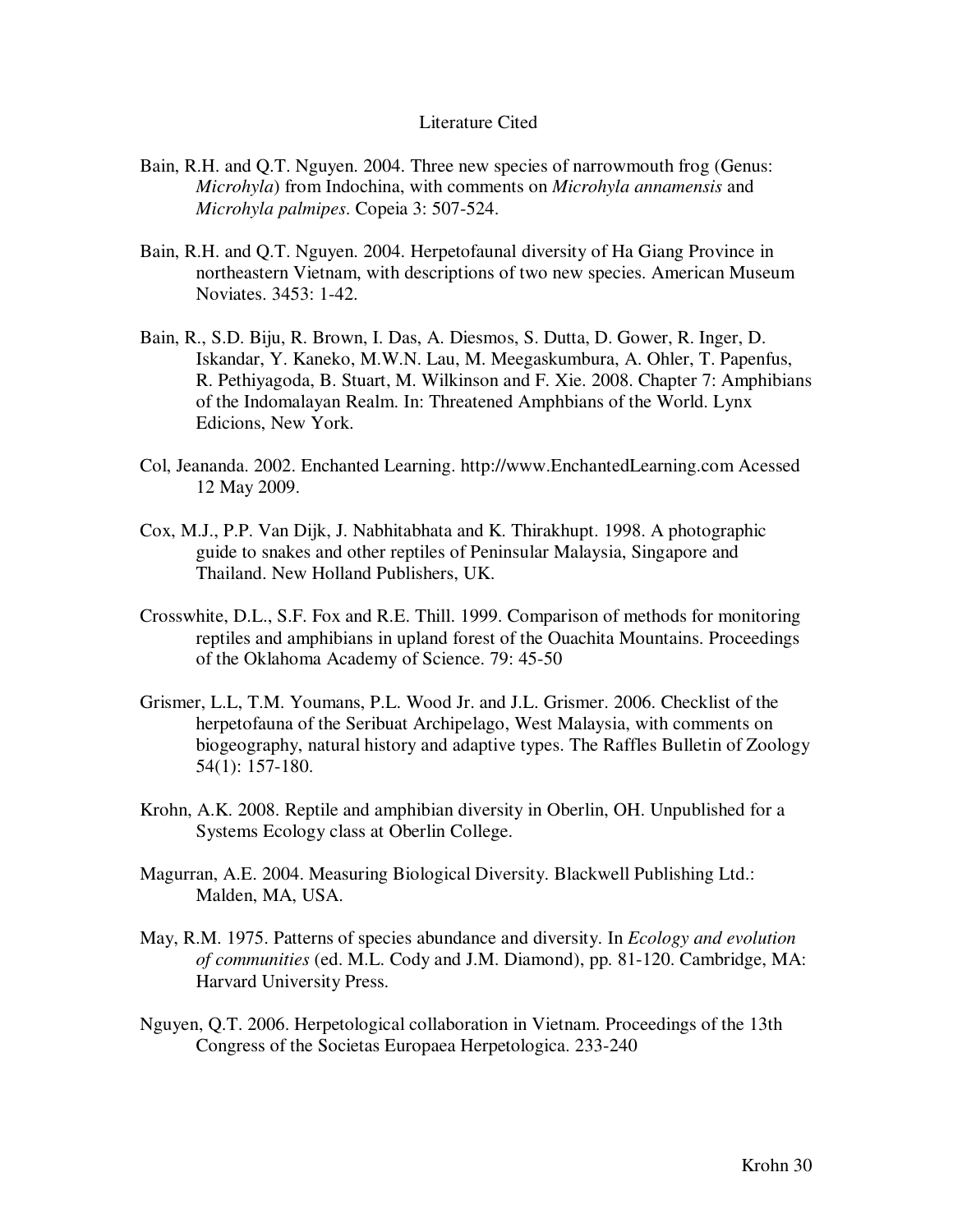#### Literature Cited

- Bain, R.H. and Q.T. Nguyen. 2004. Three new species of narrowmouth frog (Genus: *Microhyla*) from Indochina, with comments on *Microhyla annamensis* and *Microhyla palmipes*. Copeia 3: 507-524.
- Bain, R.H. and Q.T. Nguyen. 2004. Herpetofaunal diversity of Ha Giang Province in northeastern Vietnam, with descriptions of two new species. American Museum Noviates. 3453: 1-42.
- Bain, R., S.D. Biju, R. Brown, I. Das, A. Diesmos, S. Dutta, D. Gower, R. Inger, D. Iskandar, Y. Kaneko, M.W.N. Lau, M. Meegaskumbura, A. Ohler, T. Papenfus, R. Pethiyagoda, B. Stuart, M. Wilkinson and F. Xie. 2008. Chapter 7: Amphibians of the Indomalayan Realm. In: Threatened Amphbians of the World. Lynx Edicions, New York.
- Col, Jeananda. 2002. Enchanted Learning. http://www.EnchantedLearning.com Acessed 12 May 2009.
- Cox, M.J., P.P. Van Dijk, J. Nabhitabhata and K. Thirakhupt. 1998. A photographic guide to snakes and other reptiles of Peninsular Malaysia, Singapore and Thailand. New Holland Publishers, UK.
- Crosswhite, D.L., S.F. Fox and R.E. Thill. 1999. Comparison of methods for monitoring reptiles and amphibians in upland forest of the Ouachita Mountains. Proceedings of the Oklahoma Academy of Science. 79: 45-50
- Grismer, L.L, T.M. Youmans, P.L. Wood Jr. and J.L. Grismer. 2006. Checklist of the herpetofauna of the Seribuat Archipelago, West Malaysia, with comments on biogeography, natural history and adaptive types. The Raffles Bulletin of Zoology 54(1): 157-180.
- Krohn, A.K. 2008. Reptile and amphibian diversity in Oberlin, OH. Unpublished for a Systems Ecology class at Oberlin College.
- Magurran, A.E. 2004. Measuring Biological Diversity. Blackwell Publishing Ltd.: Malden, MA, USA.
- May, R.M. 1975. Patterns of species abundance and diversity. In *Ecology and evolution of communities* (ed. M.L. Cody and J.M. Diamond), pp. 81-120. Cambridge, MA: Harvard University Press.
- Nguyen, Q.T. 2006. Herpetological collaboration in Vietnam. Proceedings of the 13th Congress of the Societas Europaea Herpetologica. 233-240